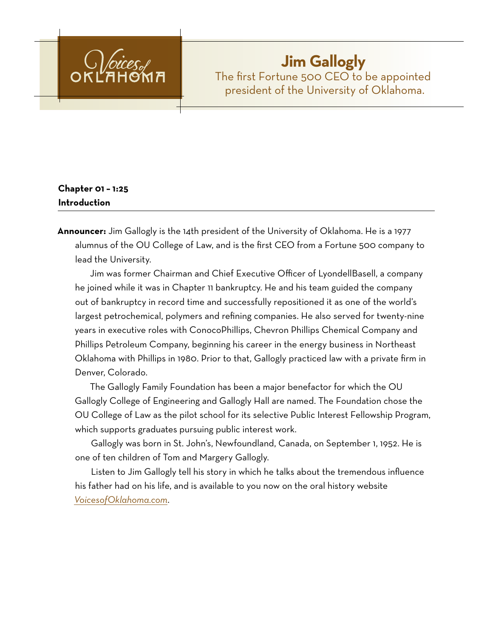

# **Jim Gallogly** The first Fortune 500 CEO to be appointed president of the University of Oklahoma.

# **Chapter 01 – 1:25 Introduction**

**Announcer:** Jim Gallogly is the 14th president of the University of Oklahoma. He is a 1977 alumnus of the OU College of Law, and is the first CEO from a Fortune 500 company to lead the University.

Jim was former Chairman and Chief Executive Officer of LyondellBasell, a company he joined while it was in Chapter 11 bankruptcy. He and his team guided the company out of bankruptcy in record time and successfully repositioned it as one of the world's largest petrochemical, polymers and refining companies. He also served for twenty-nine years in executive roles with ConocoPhillips, Chevron Phillips Chemical Company and Phillips Petroleum Company, beginning his career in the energy business in Northeast Oklahoma with Phillips in 1980. Prior to that, Gallogly practiced law with a private firm in Denver, Colorado.

The Gallogly Family Foundation has been a major benefactor for which the OU Gallogly College of Engineering and Gallogly Hall are named. The Foundation chose the OU College of Law as the pilot school for its selective Public Interest Fellowship Program, which supports graduates pursuing public interest work.

Gallogly was born in St. John's, Newfoundland, Canada, on September 1, 1952. He is one of ten children of Tom and Margery Gallogly.

Listen to Jim Gallogly tell his story in which he talks about the tremendous influence his father had on his life, and is available to you now on the oral history website *[VoicesofOklahoma.com](http://www.voicesofoklahoma.com)*.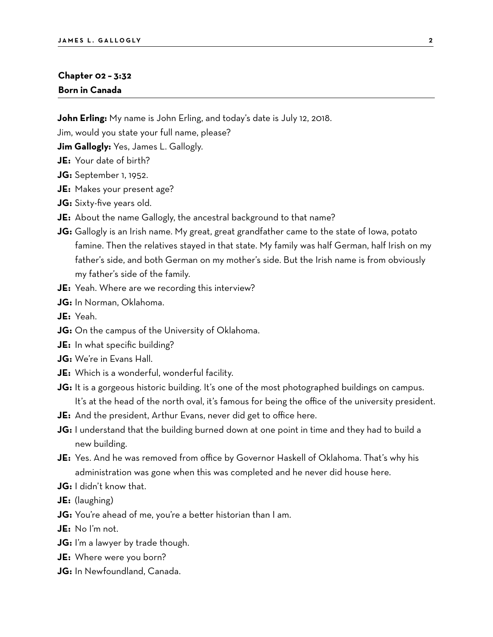#### **Chapter 02 – 3:32 Born in Canada**

**John Erling:** My name is John Erling, and today's date is July 12, 2018.

Jim, would you state your full name, please?

**Jim Gallogly:** Yes, James L. Gallogly.

- **JE:** Your date of birth?
- **JG:** September 1, 1952.
- **JE:** Makes your present age?
- **JG:** Sixty-five years old.
- **JE:** About the name Gallogly, the ancestral background to that name?
- **JG:** Gallogly is an Irish name. My great, great grandfather came to the state of Iowa, potato famine. Then the relatives stayed in that state. My family was half German, half Irish on my father's side, and both German on my mother's side. But the Irish name is from obviously my father's side of the family.
- **JE:** Yeah. Where are we recording this interview?
- **JG:** In Norman, Oklahoma.
- **JE:** Yeah.
- **JG:** On the campus of the University of Oklahoma.
- **JE:** In what specific building?
- **JG:** We're in Evans Hall.
- **JE:** Which is a wonderful, wonderful facility.
- **JG:** It is a gorgeous historic building. It's one of the most photographed buildings on campus. It's at the head of the north oval, it's famous for being the office of the university president.
- **JE:** And the president, Arthur Evans, never did get to office here.
- **JG:** I understand that the building burned down at one point in time and they had to build a new building.
- **JE:** Yes. And he was removed from office by Governor Haskell of Oklahoma. That's why his administration was gone when this was completed and he never did house here.
- **JG:** I didn't know that.
- **JE:** (laughing)
- **JG:** You're ahead of me, you're a better historian than I am.
- **JE:** No I'm not.
- **JG:** I'm a lawyer by trade though.
- **JE:** Where were you born?
- **JG:** In Newfoundland, Canada.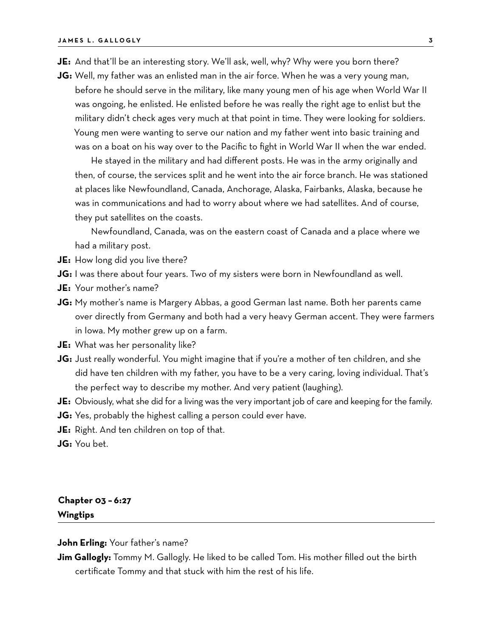- **JE:** And that'll be an interesting story. We'll ask, well, why? Why were you born there?
- **JG:** Well, my father was an enlisted man in the air force. When he was a very young man, before he should serve in the military, like many young men of his age when World War II was ongoing, he enlisted. He enlisted before he was really the right age to enlist but the military didn't check ages very much at that point in time. They were looking for soldiers. Young men were wanting to serve our nation and my father went into basic training and was on a boat on his way over to the Pacific to fight in World War II when the war ended.

He stayed in the military and had different posts. He was in the army originally and then, of course, the services split and he went into the air force branch. He was stationed at places like Newfoundland, Canada, Anchorage, Alaska, Fairbanks, Alaska, because he was in communications and had to worry about where we had satellites. And of course, they put satellites on the coasts.

Newfoundland, Canada, was on the eastern coast of Canada and a place where we had a military post.

- **JE:** How long did you live there?
- **JG:** I was there about four years. Two of my sisters were born in Newfoundland as well.
- **JE:** Your mother's name?
- **JG:** My mother's name is Margery Abbas, a good German last name. Both her parents came over directly from Germany and both had a very heavy German accent. They were farmers in Iowa. My mother grew up on a farm.
- **JE:** What was her personality like?
- **JG:** Just really wonderful. You might imagine that if you're a mother of ten children, and she did have ten children with my father, you have to be a very caring, loving individual. That's the perfect way to describe my mother. And very patient (laughing).
- **JE:** Obviously, what she did for a living was the very important job of care and keeping for the family.
- **JG:** Yes, probably the highest calling a person could ever have.
- **JE:** Right. And ten children on top of that.
- **JG:** You bet.

### **Chapter 03 – 6:27 Wingtips**

**John Erling:** Your father's name?

**Jim Gallogly:** Tommy M. Gallogly. He liked to be called Tom. His mother filled out the birth certificate Tommy and that stuck with him the rest of his life.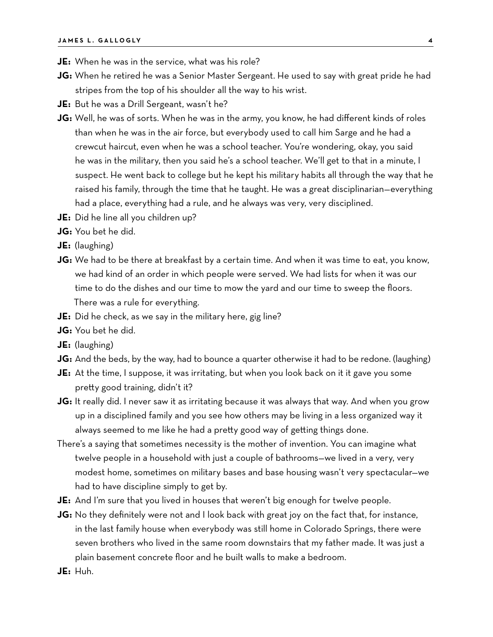- **JE:** When he was in the service, what was his role?
- **JG:** When he retired he was a Senior Master Sergeant. He used to say with great pride he had stripes from the top of his shoulder all the way to his wrist.
- **JE:** But he was a Drill Sergeant, wasn't he?
- **JG:** Well, he was of sorts. When he was in the army, you know, he had different kinds of roles than when he was in the air force, but everybody used to call him Sarge and he had a crewcut haircut, even when he was a school teacher. You're wondering, okay, you said he was in the military, then you said he's a school teacher. We'll get to that in a minute, I suspect. He went back to college but he kept his military habits all through the way that he raised his family, through the time that he taught. He was a great disciplinarian—everything had a place, everything had a rule, and he always was very, very disciplined.
- **JE:** Did he line all you children up?
- **JG:** You bet he did.
- **JE:** (laughing)
- **JG:** We had to be there at breakfast by a certain time. And when it was time to eat, you know, we had kind of an order in which people were served. We had lists for when it was our time to do the dishes and our time to mow the yard and our time to sweep the floors. There was a rule for everything.
- **JE:** Did he check, as we say in the military here, gig line?
- **JG:** You bet he did.
- **JE:** (laughing)
- **JG:** And the beds, by the way, had to bounce a quarter otherwise it had to be redone. (laughing)
- **JE:** At the time, I suppose, it was irritating, but when you look back on it it gave you some pretty good training, didn't it?
- **JG:** It really did. I never saw it as irritating because it was always that way. And when you grow up in a disciplined family and you see how others may be living in a less organized way it always seemed to me like he had a pretty good way of getting things done.
- There's a saying that sometimes necessity is the mother of invention. You can imagine what twelve people in a household with just a couple of bathrooms—we lived in a very, very modest home, sometimes on military bases and base housing wasn't very spectacular—we had to have discipline simply to get by.
- **JE:** And I'm sure that you lived in houses that weren't big enough for twelve people.
- **JG:** No they definitely were not and I look back with great joy on the fact that, for instance, in the last family house when everybody was still home in Colorado Springs, there were seven brothers who lived in the same room downstairs that my father made. It was just a plain basement concrete floor and he built walls to make a bedroom.
- **JE:** Huh.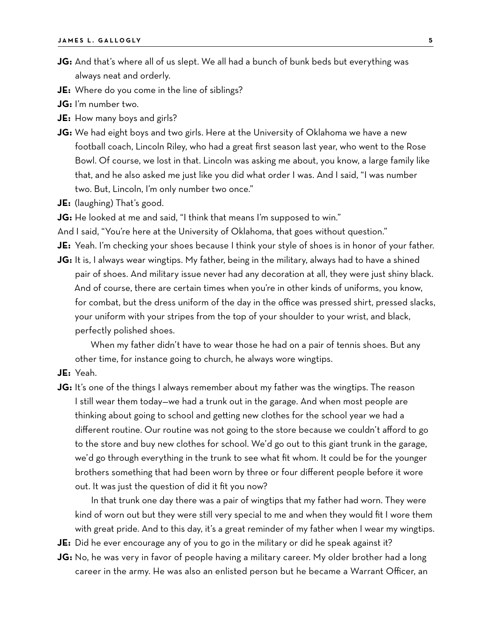- **JG:** And that's where all of us slept. We all had a bunch of bunk beds but everything was always neat and orderly.
- **JE:** Where do you come in the line of siblings?
- **JG:** I'm number two.
- **JE:** How many boys and girls?
- **JG:** We had eight boys and two girls. Here at the University of Oklahoma we have a new football coach, Lincoln Riley, who had a great first season last year, who went to the Rose Bowl. Of course, we lost in that. Lincoln was asking me about, you know, a large family like that, and he also asked me just like you did what order I was. And I said, "I was number two. But, Lincoln, I'm only number two once."
- **JE:** (laughing) That's good.
- **JG:** He looked at me and said, "I think that means I'm supposed to win."
- And I said, "You're here at the University of Oklahoma, that goes without question."
- **JE:** Yeah. I'm checking your shoes because I think your style of shoes is in honor of your father.
- **JG:** It is, I always wear wingtips. My father, being in the military, always had to have a shined pair of shoes. And military issue never had any decoration at all, they were just shiny black. And of course, there are certain times when you're in other kinds of uniforms, you know, for combat, but the dress uniform of the day in the office was pressed shirt, pressed slacks, your uniform with your stripes from the top of your shoulder to your wrist, and black, perfectly polished shoes.

When my father didn't have to wear those he had on a pair of tennis shoes. But any other time, for instance going to church, he always wore wingtips.

- **JE:** Yeah.
- **JG:** It's one of the things I always remember about my father was the wingtips. The reason I still wear them today—we had a trunk out in the garage. And when most people are thinking about going to school and getting new clothes for the school year we had a different routine. Our routine was not going to the store because we couldn't afford to go to the store and buy new clothes for school. We'd go out to this giant trunk in the garage, we'd go through everything in the trunk to see what fit whom. It could be for the younger brothers something that had been worn by three or four different people before it wore out. It was just the question of did it fit you now?

In that trunk one day there was a pair of wingtips that my father had worn. They were kind of worn out but they were still very special to me and when they would fit I wore them with great pride. And to this day, it's a great reminder of my father when I wear my wingtips.

- **JE:** Did he ever encourage any of you to go in the military or did he speak against it?
- **JG:** No, he was very in favor of people having a military career. My older brother had a long career in the army. He was also an enlisted person but he became a Warrant Officer, an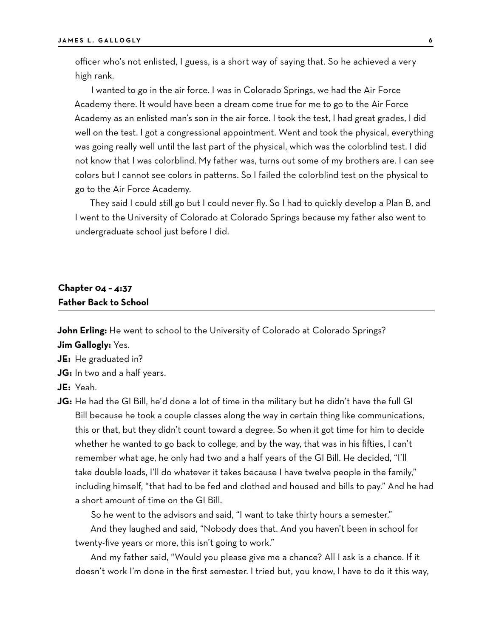officer who's not enlisted, I guess, is a short way of saying that. So he achieved a very high rank.

I wanted to go in the air force. I was in Colorado Springs, we had the Air Force Academy there. It would have been a dream come true for me to go to the Air Force Academy as an enlisted man's son in the air force. I took the test, I had great grades, I did well on the test. I got a congressional appointment. Went and took the physical, everything was going really well until the last part of the physical, which was the colorblind test. I did not know that I was colorblind. My father was, turns out some of my brothers are. I can see colors but I cannot see colors in patterns. So I failed the colorblind test on the physical to go to the Air Force Academy.

They said I could still go but I could never fly. So I had to quickly develop a Plan B, and I went to the University of Colorado at Colorado Springs because my father also went to undergraduate school just before I did.

# **Chapter 04 – 4:37 Father Back to School**

**John Erling:** He went to school to the University of Colorado at Colorado Springs?

**Jim Gallogly:** Yes.

**JE:** He graduated in?

**JG:** In two and a half years.

**JE:** Yeah.

**JG:** He had the GI Bill, he'd done a lot of time in the military but he didn't have the full GI Bill because he took a couple classes along the way in certain thing like communications, this or that, but they didn't count toward a degree. So when it got time for him to decide whether he wanted to go back to college, and by the way, that was in his fifties, I can't remember what age, he only had two and a half years of the GI Bill. He decided, "I'll take double loads, I'll do whatever it takes because I have twelve people in the family," including himself, "that had to be fed and clothed and housed and bills to pay." And he had a short amount of time on the GI Bill.

So he went to the advisors and said, "I want to take thirty hours a semester."

And they laughed and said, "Nobody does that. And you haven't been in school for twenty-five years or more, this isn't going to work."

And my father said, "Would you please give me a chance? All I ask is a chance. If it doesn't work I'm done in the first semester. I tried but, you know, I have to do it this way,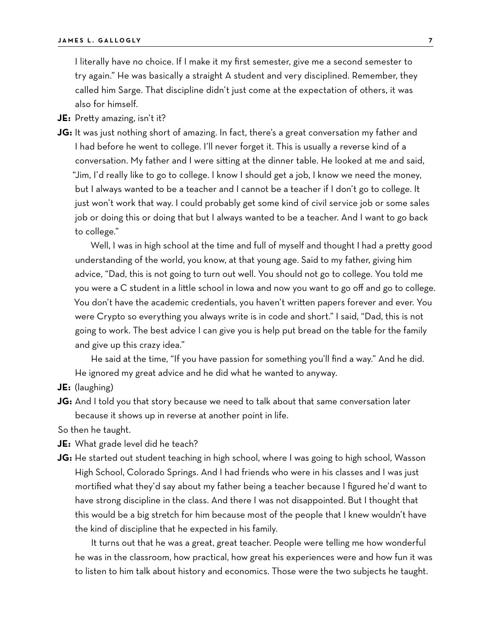I literally have no choice. If I make it my first semester, give me a second semester to try again." He was basically a straight A student and very disciplined. Remember, they called him Sarge. That discipline didn't just come at the expectation of others, it was also for himself.

**JE:** Pretty amazing, isn't it?

**JG:** It was just nothing short of amazing. In fact, there's a great conversation my father and I had before he went to college. I'll never forget it. This is usually a reverse kind of a conversation. My father and I were sitting at the dinner table. He looked at me and said, "Jim, I'd really like to go to college. I know I should get a job, I know we need the money, but I always wanted to be a teacher and I cannot be a teacher if I don't go to college. It just won't work that way. I could probably get some kind of civil service job or some sales job or doing this or doing that but I always wanted to be a teacher. And I want to go back to college."

Well, I was in high school at the time and full of myself and thought I had a pretty good understanding of the world, you know, at that young age. Said to my father, giving him advice, "Dad, this is not going to turn out well. You should not go to college. You told me you were a C student in a little school in Iowa and now you want to go off and go to college. You don't have the academic credentials, you haven't written papers forever and ever. You were Crypto so everything you always write is in code and short." I said, "Dad, this is not going to work. The best advice I can give you is help put bread on the table for the family and give up this crazy idea."

He said at the time, "If you have passion for something you'll find a way." And he did. He ignored my great advice and he did what he wanted to anyway.

**JE:** (laughing)

**JG:** And I told you that story because we need to talk about that same conversation later because it shows up in reverse at another point in life.

So then he taught.

**JE:** What grade level did he teach?

**JG:** He started out student teaching in high school, where I was going to high school, Wasson High School, Colorado Springs. And I had friends who were in his classes and I was just mortified what they'd say about my father being a teacher because I figured he'd want to have strong discipline in the class. And there I was not disappointed. But I thought that this would be a big stretch for him because most of the people that I knew wouldn't have the kind of discipline that he expected in his family.

It turns out that he was a great, great teacher. People were telling me how wonderful he was in the classroom, how practical, how great his experiences were and how fun it was to listen to him talk about history and economics. Those were the two subjects he taught.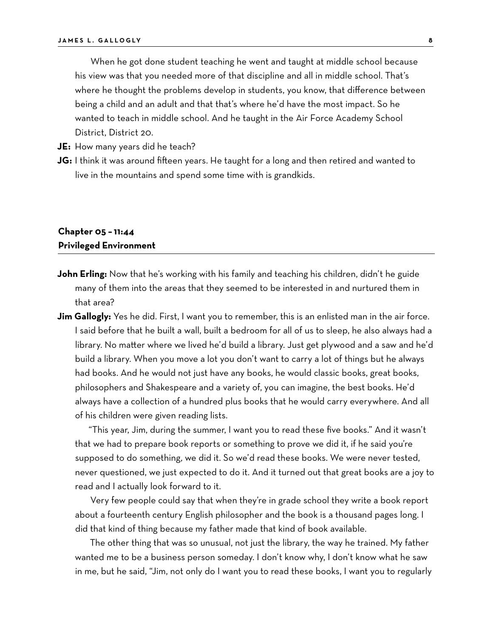When he got done student teaching he went and taught at middle school because his view was that you needed more of that discipline and all in middle school. That's where he thought the problems develop in students, you know, that difference between being a child and an adult and that that's where he'd have the most impact. So he wanted to teach in middle school. And he taught in the Air Force Academy School District, District 20.

**JE:** How many years did he teach?

**JG:** I think it was around fifteen years. He taught for a long and then retired and wanted to live in the mountains and spend some time with is grandkids.

#### **Chapter 05 – 11:44 Privileged Environment**

- **John Erling:** Now that he's working with his family and teaching his children, didn't he guide many of them into the areas that they seemed to be interested in and nurtured them in that area?
- **Jim Gallogly:** Yes he did. First, I want you to remember, this is an enlisted man in the air force. I said before that he built a wall, built a bedroom for all of us to sleep, he also always had a library. No matter where we lived he'd build a library. Just get plywood and a saw and he'd build a library. When you move a lot you don't want to carry a lot of things but he always had books. And he would not just have any books, he would classic books, great books, philosophers and Shakespeare and a variety of, you can imagine, the best books. He'd always have a collection of a hundred plus books that he would carry everywhere. And all of his children were given reading lists.

"This year, Jim, during the summer, I want you to read these five books." And it wasn't that we had to prepare book reports or something to prove we did it, if he said you're supposed to do something, we did it. So we'd read these books. We were never tested, never questioned, we just expected to do it. And it turned out that great books are a joy to read and I actually look forward to it.

Very few people could say that when they're in grade school they write a book report about a fourteenth century English philosopher and the book is a thousand pages long. I did that kind of thing because my father made that kind of book available.

The other thing that was so unusual, not just the library, the way he trained. My father wanted me to be a business person someday. I don't know why, I don't know what he saw in me, but he said, "Jim, not only do I want you to read these books, I want you to regularly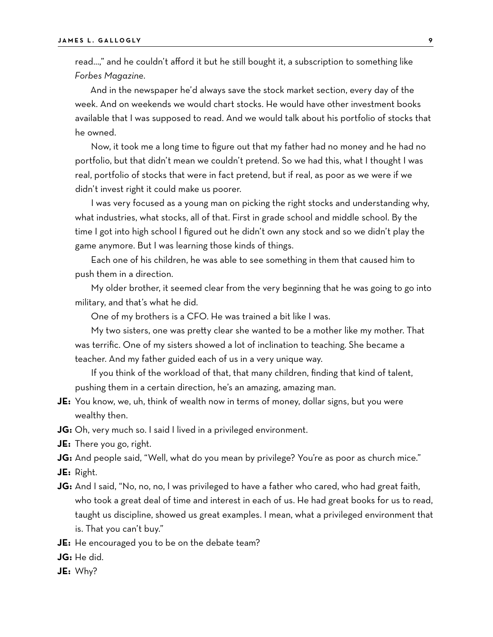read…," and he couldn't afford it but he still bought it, a subscription to something like *Forbes Magazine*.

And in the newspaper he'd always save the stock market section, every day of the week. And on weekends we would chart stocks. He would have other investment books available that I was supposed to read. And we would talk about his portfolio of stocks that he owned.

Now, it took me a long time to figure out that my father had no money and he had no portfolio, but that didn't mean we couldn't pretend. So we had this, what I thought I was real, portfolio of stocks that were in fact pretend, but if real, as poor as we were if we didn't invest right it could make us poorer.

I was very focused as a young man on picking the right stocks and understanding why, what industries, what stocks, all of that. First in grade school and middle school. By the time I got into high school I figured out he didn't own any stock and so we didn't play the game anymore. But I was learning those kinds of things.

Each one of his children, he was able to see something in them that caused him to push them in a direction.

My older brother, it seemed clear from the very beginning that he was going to go into military, and that's what he did.

One of my brothers is a CFO. He was trained a bit like I was.

My two sisters, one was pretty clear she wanted to be a mother like my mother. That was terrific. One of my sisters showed a lot of inclination to teaching. She became a teacher. And my father guided each of us in a very unique way.

If you think of the workload of that, that many children, finding that kind of talent, pushing them in a certain direction, he's an amazing, amazing man.

- **JE:** You know, we, uh, think of wealth now in terms of money, dollar signs, but you were wealthy then.
- **JG:** Oh, very much so. I said I lived in a privileged environment.
- **JE:** There you go, right.

**JG:** And people said, "Well, what do you mean by privilege? You're as poor as church mice."

**JE:** Right.

- **JG:** And I said, "No, no, no, I was privileged to have a father who cared, who had great faith, who took a great deal of time and interest in each of us. He had great books for us to read, taught us discipline, showed us great examples. I mean, what a privileged environment that is. That you can't buy."
- **JE:** He encouraged you to be on the debate team?
- **JG:** He did.
- **JE:** Why?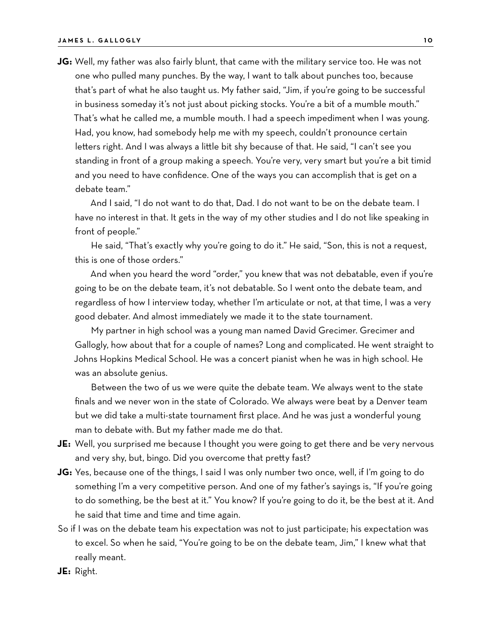**JG:** Well, my father was also fairly blunt, that came with the military service too. He was not one who pulled many punches. By the way, I want to talk about punches too, because that's part of what he also taught us. My father said, "Jim, if you're going to be successful in business someday it's not just about picking stocks. You're a bit of a mumble mouth." That's what he called me, a mumble mouth. I had a speech impediment when I was young. Had, you know, had somebody help me with my speech, couldn't pronounce certain letters right. And I was always a little bit shy because of that. He said, "I can't see you standing in front of a group making a speech. You're very, very smart but you're a bit timid and you need to have confidence. One of the ways you can accomplish that is get on a debate team."

And I said, "I do not want to do that, Dad. I do not want to be on the debate team. I have no interest in that. It gets in the way of my other studies and I do not like speaking in front of people."

He said, "That's exactly why you're going to do it." He said, "Son, this is not a request, this is one of those orders."

And when you heard the word "order," you knew that was not debatable, even if you're going to be on the debate team, it's not debatable. So I went onto the debate team, and regardless of how I interview today, whether I'm articulate or not, at that time, I was a very good debater. And almost immediately we made it to the state tournament.

My partner in high school was a young man named David Grecimer. Grecimer and Gallogly, how about that for a couple of names? Long and complicated. He went straight to Johns Hopkins Medical School. He was a concert pianist when he was in high school. He was an absolute genius.

Between the two of us we were quite the debate team. We always went to the state finals and we never won in the state of Colorado. We always were beat by a Denver team but we did take a multi-state tournament first place. And he was just a wonderful young man to debate with. But my father made me do that.

- **JE:** Well, you surprised me because I thought you were going to get there and be very nervous and very shy, but, bingo. Did you overcome that pretty fast?
- **JG:** Yes, because one of the things, I said I was only number two once, well, if I'm going to do something I'm a very competitive person. And one of my father's sayings is, "If you're going to do something, be the best at it." You know? If you're going to do it, be the best at it. And he said that time and time and time again.
- So if I was on the debate team his expectation was not to just participate; his expectation was to excel. So when he said, "You're going to be on the debate team, Jim," I knew what that really meant.
- **JE:** Right.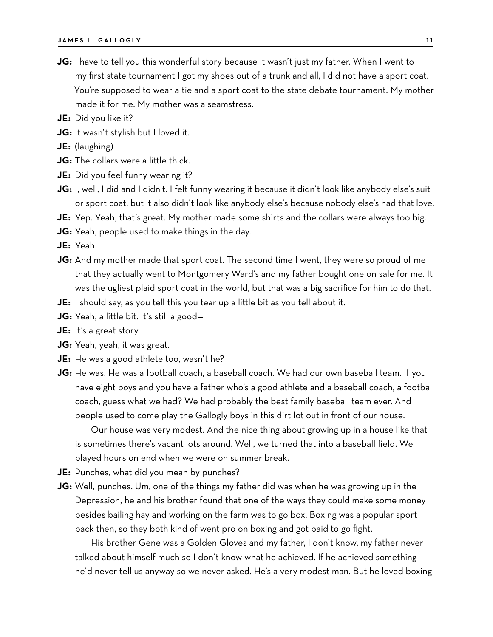- **JG:** I have to tell you this wonderful story because it wasn't just my father. When I went to my first state tournament I got my shoes out of a trunk and all, I did not have a sport coat. You're supposed to wear a tie and a sport coat to the state debate tournament. My mother made it for me. My mother was a seamstress.
- **JE:** Did you like it?
- **JG:** It wasn't stylish but I loved it.
- **JE:** (laughing)
- **JG:** The collars were a little thick.
- **JE:** Did you feel funny wearing it?
- **JG:** I, well, I did and I didn't. I felt funny wearing it because it didn't look like anybody else's suit or sport coat, but it also didn't look like anybody else's because nobody else's had that love.
- **JE:** Yep. Yeah, that's great. My mother made some shirts and the collars were always too big.
- **JG:** Yeah, people used to make things in the day.

**JE:** Yeah.

- **JG:** And my mother made that sport coat. The second time I went, they were so proud of me that they actually went to Montgomery Ward's and my father bought one on sale for me. It was the ugliest plaid sport coat in the world, but that was a big sacrifice for him to do that.
- **JE:** I should say, as you tell this you tear up a little bit as you tell about it.
- **JG:** Yeah, a little bit. It's still a good—
- **JE:** It's a great story.
- **JG:** Yeah, yeah, it was great.
- **JE:** He was a good athlete too, wasn't he?
- **JG:** He was. He was a football coach, a baseball coach. We had our own baseball team. If you have eight boys and you have a father who's a good athlete and a baseball coach, a football coach, guess what we had? We had probably the best family baseball team ever. And people used to come play the Gallogly boys in this dirt lot out in front of our house.

Our house was very modest. And the nice thing about growing up in a house like that is sometimes there's vacant lots around. Well, we turned that into a baseball field. We played hours on end when we were on summer break.

- **JE:** Punches, what did you mean by punches?
- **JG:** Well, punches. Um, one of the things my father did was when he was growing up in the Depression, he and his brother found that one of the ways they could make some money besides bailing hay and working on the farm was to go box. Boxing was a popular sport back then, so they both kind of went pro on boxing and got paid to go fight.

His brother Gene was a Golden Gloves and my father, I don't know, my father never talked about himself much so I don't know what he achieved. If he achieved something he'd never tell us anyway so we never asked. He's a very modest man. But he loved boxing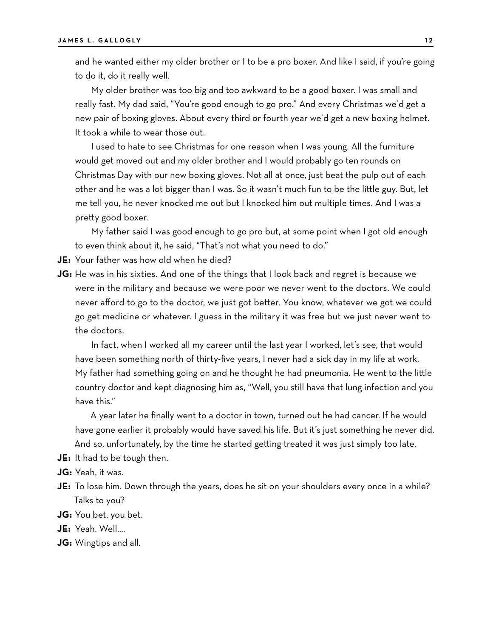and he wanted either my older brother or I to be a pro boxer. And like I said, if you're going to do it, do it really well.

My older brother was too big and too awkward to be a good boxer. I was small and really fast. My dad said, "You're good enough to go pro." And every Christmas we'd get a new pair of boxing gloves. About every third or fourth year we'd get a new boxing helmet. It took a while to wear those out.

I used to hate to see Christmas for one reason when I was young. All the furniture would get moved out and my older brother and I would probably go ten rounds on Christmas Day with our new boxing gloves. Not all at once, just beat the pulp out of each other and he was a lot bigger than I was. So it wasn't much fun to be the little guy. But, let me tell you, he never knocked me out but I knocked him out multiple times. And I was a pretty good boxer.

My father said I was good enough to go pro but, at some point when I got old enough to even think about it, he said, "That's not what you need to do."

**JE:** Your father was how old when he died?

**JG:** He was in his sixties. And one of the things that I look back and regret is because we were in the military and because we were poor we never went to the doctors. We could never afford to go to the doctor, we just got better. You know, whatever we got we could go get medicine or whatever. I guess in the military it was free but we just never went to the doctors.

In fact, when I worked all my career until the last year I worked, let's see, that would have been something north of thirty-five years, I never had a sick day in my life at work. My father had something going on and he thought he had pneumonia. He went to the little country doctor and kept diagnosing him as, "Well, you still have that lung infection and you have this."

A year later he finally went to a doctor in town, turned out he had cancer. If he would have gone earlier it probably would have saved his life. But it's just something he never did. And so, unfortunately, by the time he started getting treated it was just simply too late.

**JE:** It had to be tough then.

- **JG:** Yeah, it was.
- **JE:** To lose him. Down through the years, does he sit on your shoulders every once in a while? Talks to you?
- **JG:** You bet, you bet.
- **JE:** Yeah. Well,…
- **JG:** Wingtips and all.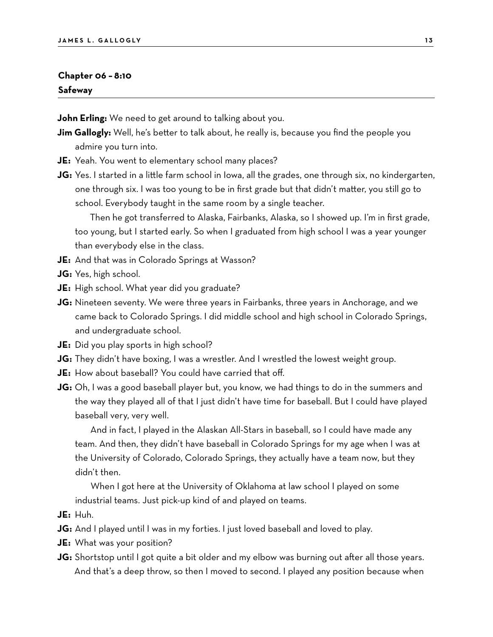#### **Chapter 06 – 8:10 Safeway**

**John Erling:** We need to get around to talking about you.

- **Jim Gallogly:** Well, he's better to talk about, he really is, because you find the people you admire you turn into.
- **JE:** Yeah. You went to elementary school many places?
- **JG:** Yes. I started in a little farm school in Iowa, all the grades, one through six, no kindergarten, one through six. I was too young to be in first grade but that didn't matter, you still go to school. Everybody taught in the same room by a single teacher.

Then he got transferred to Alaska, Fairbanks, Alaska, so I showed up. I'm in first grade, too young, but I started early. So when I graduated from high school I was a year younger than everybody else in the class.

- **JE:** And that was in Colorado Springs at Wasson?
- **JG:** Yes, high school.
- **JE:** High school. What year did you graduate?
- **JG:** Nineteen seventy. We were three years in Fairbanks, three years in Anchorage, and we came back to Colorado Springs. I did middle school and high school in Colorado Springs, and undergraduate school.
- **JE:** Did you play sports in high school?
- **JG:** They didn't have boxing, I was a wrestler. And I wrestled the lowest weight group.
- **JE:** How about baseball? You could have carried that off.
- **JG:** Oh, I was a good baseball player but, you know, we had things to do in the summers and the way they played all of that I just didn't have time for baseball. But I could have played baseball very, very well.

And in fact, I played in the Alaskan All-Stars in baseball, so I could have made any team. And then, they didn't have baseball in Colorado Springs for my age when I was at the University of Colorado, Colorado Springs, they actually have a team now, but they didn't then.

When I got here at the University of Oklahoma at law school I played on some industrial teams. Just pick-up kind of and played on teams.

- **JE:** Huh.
- **JG:** And I played until I was in my forties. I just loved baseball and loved to play.
- **JE:** What was your position?
- **JG:** Shortstop until I got quite a bit older and my elbow was burning out after all those years. And that's a deep throw, so then I moved to second. I played any position because when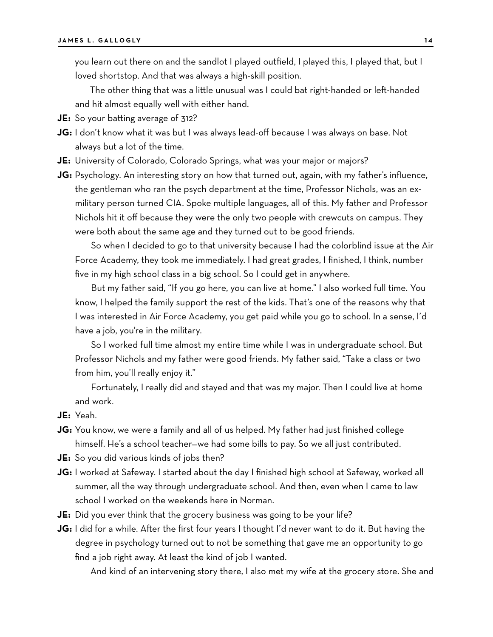you learn out there on and the sandlot I played outfield, I played this, I played that, but I loved shortstop. And that was always a high-skill position.

The other thing that was a little unusual was I could bat right-handed or left-handed and hit almost equally well with either hand.

- **JE:** So your batting average of 312?
- **JG:** I don't know what it was but I was always lead-off because I was always on base. Not always but a lot of the time.
- **JE:** University of Colorado, Colorado Springs, what was your major or majors?
- **JG:** Psychology. An interesting story on how that turned out, again, with my father's influence, the gentleman who ran the psych department at the time, Professor Nichols, was an exmilitary person turned CIA. Spoke multiple languages, all of this. My father and Professor Nichols hit it off because they were the only two people with crewcuts on campus. They were both about the same age and they turned out to be good friends.

So when I decided to go to that university because I had the colorblind issue at the Air Force Academy, they took me immediately. I had great grades, I finished, I think, number five in my high school class in a big school. So I could get in anywhere.

But my father said, "If you go here, you can live at home." I also worked full time. You know, I helped the family support the rest of the kids. That's one of the reasons why that I was interested in Air Force Academy, you get paid while you go to school. In a sense, I'd have a job, you're in the military.

So I worked full time almost my entire time while I was in undergraduate school. But Professor Nichols and my father were good friends. My father said, "Take a class or two from him, you'll really enjoy it."

Fortunately, I really did and stayed and that was my major. Then I could live at home and work.

- **JE:** Yeah.
- **JG:** You know, we were a family and all of us helped. My father had just finished college himself. He's a school teacher—we had some bills to pay. So we all just contributed.
- **JE:** So you did various kinds of jobs then?
- **JG:** I worked at Safeway. I started about the day I finished high school at Safeway, worked all summer, all the way through undergraduate school. And then, even when I came to law school I worked on the weekends here in Norman.
- **JE:** Did you ever think that the grocery business was going to be your life?
- **JG:** I did for a while. After the first four years I thought I'd never want to do it. But having the degree in psychology turned out to not be something that gave me an opportunity to go find a job right away. At least the kind of job I wanted.

And kind of an intervening story there, I also met my wife at the grocery store. She and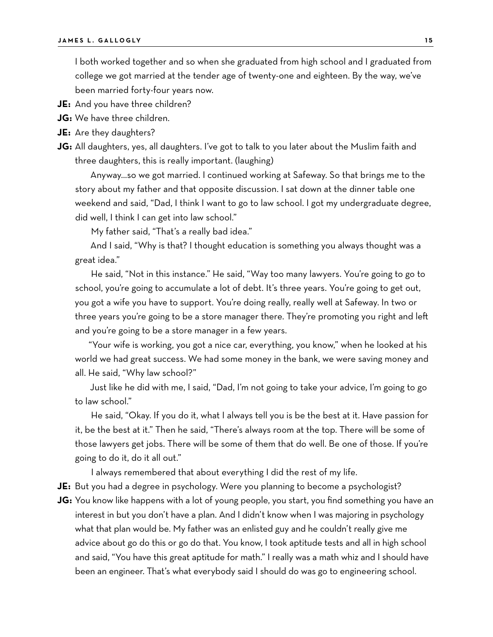I both worked together and so when she graduated from high school and I graduated from college we got married at the tender age of twenty-one and eighteen. By the way, we've been married forty-four years now.

**JE:** And you have three children?

**JG:** We have three children.

**JE:** Are they daughters?

**JG:** All daughters, yes, all daughters. I've got to talk to you later about the Muslim faith and three daughters, this is really important. (laughing)

Anyway…so we got married. I continued working at Safeway. So that brings me to the story about my father and that opposite discussion. I sat down at the dinner table one weekend and said, "Dad, I think I want to go to law school. I got my undergraduate degree, did well, I think I can get into law school."

My father said, "That's a really bad idea."

And I said, "Why is that? I thought education is something you always thought was a great idea."

He said, "Not in this instance." He said, "Way too many lawyers. You're going to go to school, you're going to accumulate a lot of debt. It's three years. You're going to get out, you got a wife you have to support. You're doing really, really well at Safeway. In two or three years you're going to be a store manager there. They're promoting you right and left and you're going to be a store manager in a few years.

"Your wife is working, you got a nice car, everything, you know," when he looked at his world we had great success. We had some money in the bank, we were saving money and all. He said, "Why law school?"

Just like he did with me, I said, "Dad, I'm not going to take your advice, I'm going to go to law school."

He said, "Okay. If you do it, what I always tell you is be the best at it. Have passion for it, be the best at it." Then he said, "There's always room at the top. There will be some of those lawyers get jobs. There will be some of them that do well. Be one of those. If you're going to do it, do it all out."

I always remembered that about everything I did the rest of my life.

**JE:** But you had a degree in psychology. Were you planning to become a psychologist?

**JG:** You know like happens with a lot of young people, you start, you find something you have an interest in but you don't have a plan. And I didn't know when I was majoring in psychology what that plan would be. My father was an enlisted guy and he couldn't really give me advice about go do this or go do that. You know, I took aptitude tests and all in high school and said, "You have this great aptitude for math." I really was a math whiz and I should have been an engineer. That's what everybody said I should do was go to engineering school.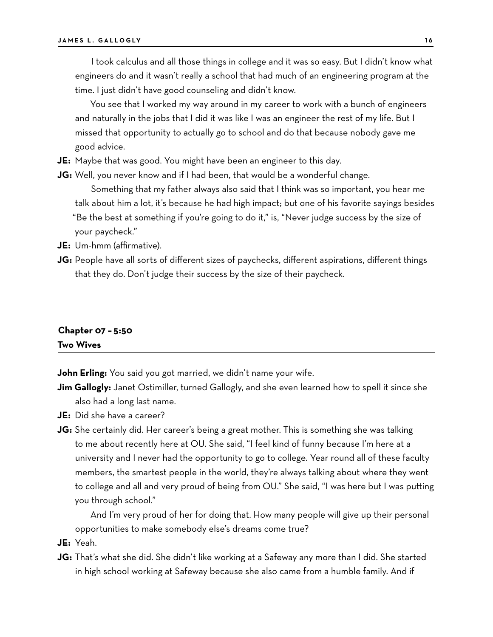I took calculus and all those things in college and it was so easy. But I didn't know what engineers do and it wasn't really a school that had much of an engineering program at the time. I just didn't have good counseling and didn't know.

You see that I worked my way around in my career to work with a bunch of engineers and naturally in the jobs that I did it was like I was an engineer the rest of my life. But I missed that opportunity to actually go to school and do that because nobody gave me good advice.

- **JE:** Maybe that was good. You might have been an engineer to this day.
- **JG:** Well, you never know and if I had been, that would be a wonderful change.

Something that my father always also said that I think was so important, you hear me talk about him a lot, it's because he had high impact; but one of his favorite sayings besides "Be the best at something if you're going to do it," is, "Never judge success by the size of your paycheck."

**JE:** Um-hmm (affirmative).

**JG:** People have all sorts of different sizes of paychecks, different aspirations, different things that they do. Don't judge their success by the size of their paycheck.

# **Chapter 07 – 5:50 Two Wives**

**John Erling:** You said you got married, we didn't name your wife.

**Jim Gallogly:** Janet Ostimiller, turned Gallogly, and she even learned how to spell it since she also had a long last name.

**JE:** Did she have a career?

**JG:** She certainly did. Her career's being a great mother. This is something she was talking to me about recently here at OU. She said, "I feel kind of funny because I'm here at a university and I never had the opportunity to go to college. Year round all of these faculty members, the smartest people in the world, they're always talking about where they went to college and all and very proud of being from OU." She said, "I was here but I was putting you through school."

And I'm very proud of her for doing that. How many people will give up their personal opportunities to make somebody else's dreams come true?

**JE:** Yeah.

**JG:** That's what she did. She didn't like working at a Safeway any more than I did. She started in high school working at Safeway because she also came from a humble family. And if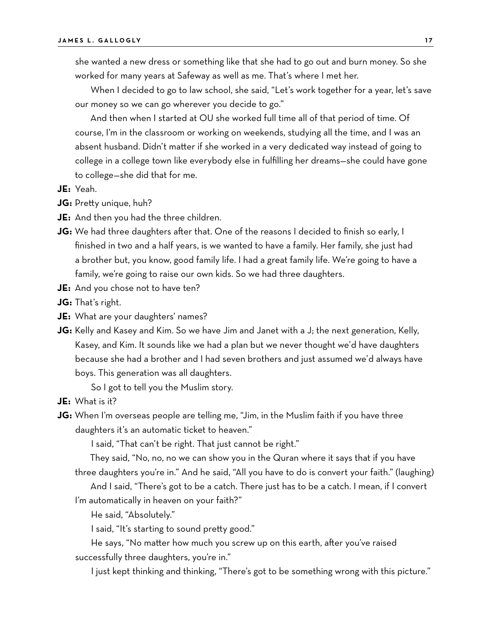she wanted a new dress or something like that she had to go out and burn money. So she worked for many years at Safeway as well as me. That's where I met her.

When I decided to go to law school, she said, "Let's work together for a year, let's save our money so we can go wherever you decide to go."

And then when I started at OU she worked full time all of that period of time. Of course, I'm in the classroom or working on weekends, studying all the time, and I was an absent husband. Didn't matter if she worked in a very dedicated way instead of going to college in a college town like everybody else in fulfilling her dreams—she could have gone to college—she did that for me.

- **JE:** Yeah.
- **JG:** Pretty unique, huh?
- **JE:** And then you had the three children.
- **JG:** We had three daughters after that. One of the reasons I decided to finish so early, I finished in two and a half years, is we wanted to have a family. Her family, she just had a brother but, you know, good family life. I had a great family life. We're going to have a family, we're going to raise our own kids. So we had three daughters.
- **JE:** And you chose not to have ten?
- **JG:** That's right.
- **JE:** What are your daughters' names?
- **JG:** Kelly and Kasey and Kim. So we have Jim and Janet with a J; the next generation, Kelly, Kasey, and Kim. It sounds like we had a plan but we never thought we'd have daughters because she had a brother and I had seven brothers and just assumed we'd always have boys. This generation was all daughters.

So I got to tell you the Muslim story.

- **JE:** What is it?
- **JG:** When I'm overseas people are telling me, "Jim, in the Muslim faith if you have three daughters it's an automatic ticket to heaven."

I said, "That can't be right. That just cannot be right."

They said, "No, no, no we can show you in the Quran where it says that if you have three daughters you're in." And he said, "All you have to do is convert your faith." (laughing)

And I said, "There's got to be a catch. There just has to be a catch. I mean, if I convert I'm automatically in heaven on your faith?"

He said, "Absolutely."

I said, "It's starting to sound pretty good."

He says, "No matter how much you screw up on this earth, after you've raised successfully three daughters, you're in."

I just kept thinking and thinking, "There's got to be something wrong with this picture."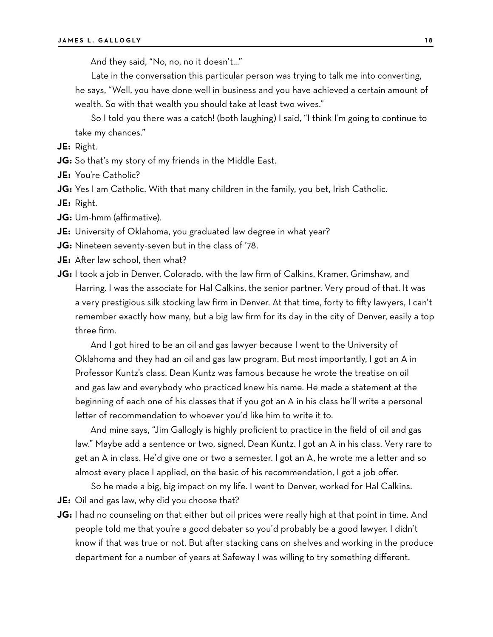And they said, "No, no, no it doesn't…"

Late in the conversation this particular person was trying to talk me into converting,

he says, "Well, you have done well in business and you have achieved a certain amount of wealth. So with that wealth you should take at least two wives."

So I told you there was a catch! (both laughing) I said, "I think I'm going to continue to take my chances."

**JE:** Right.

**JG:** So that's my story of my friends in the Middle East.

**JE:** You're Catholic?

**JG:** Yes I am Catholic. With that many children in the family, you bet, Irish Catholic.

**JE:** Right.

- **JG:** Um-hmm (affirmative).
- **JE:** University of Oklahoma, you graduated law degree in what year?
- **JG:** Nineteen seventy-seven but in the class of '78.
- **JE:** After law school, then what?
- **JG:** I took a job in Denver, Colorado, with the law firm of Calkins, Kramer, Grimshaw, and Harring. I was the associate for Hal Calkins, the senior partner. Very proud of that. It was a very prestigious silk stocking law firm in Denver. At that time, forty to fifty lawyers, I can't remember exactly how many, but a big law firm for its day in the city of Denver, easily a top three firm.

And I got hired to be an oil and gas lawyer because I went to the University of Oklahoma and they had an oil and gas law program. But most importantly, I got an A in Professor Kuntz's class. Dean Kuntz was famous because he wrote the treatise on oil and gas law and everybody who practiced knew his name. He made a statement at the beginning of each one of his classes that if you got an A in his class he'll write a personal letter of recommendation to whoever you'd like him to write it to.

And mine says, "Jim Gallogly is highly proficient to practice in the field of oil and gas law." Maybe add a sentence or two, signed, Dean Kuntz. I got an A in his class. Very rare to get an A in class. He'd give one or two a semester. I got an A, he wrote me a letter and so almost every place I applied, on the basic of his recommendation, I got a job offer.

So he made a big, big impact on my life. I went to Denver, worked for Hal Calkins. **JE:** Oil and gas law, why did you choose that?

**JG:** I had no counseling on that either but oil prices were really high at that point in time. And people told me that you're a good debater so you'd probably be a good lawyer. I didn't know if that was true or not. But after stacking cans on shelves and working in the produce department for a number of years at Safeway I was willing to try something different.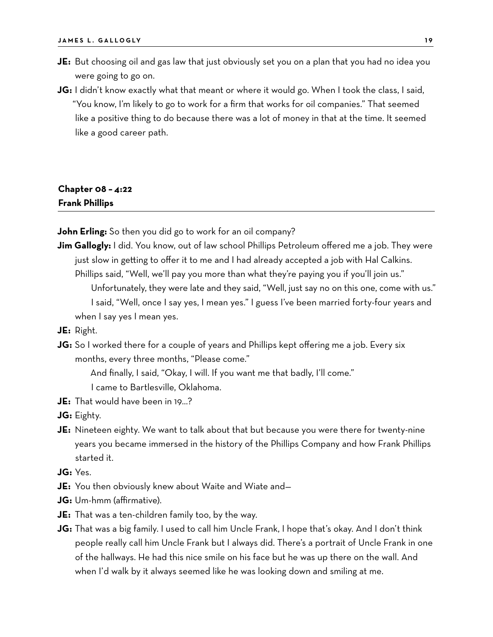- **JE:** But choosing oil and gas law that just obviously set you on a plan that you had no idea you were going to go on.
- **JG:** I didn't know exactly what that meant or where it would go. When I took the class, I said, "You know, I'm likely to go to work for a firm that works for oil companies." That seemed like a positive thing to do because there was a lot of money in that at the time. It seemed like a good career path.

# **Chapter 08 – 4:22 Frank Phillips**

**John Erling:** So then you did go to work for an oil company?

**Jim Gallogly:** I did. You know, out of law school Phillips Petroleum offered me a job. They were just slow in getting to offer it to me and I had already accepted a job with Hal Calkins. Phillips said, "Well, we'll pay you more than what they're paying you if you'll join us."

Unfortunately, they were late and they said, "Well, just say no on this one, come with us." I said, "Well, once I say yes, I mean yes." I guess I've been married forty-four years and when I say yes I mean yes.

- **JE:** Right.
- **JG:** So I worked there for a couple of years and Phillips kept offering me a job. Every six months, every three months, "Please come."

And finally, I said, "Okay, I will. If you want me that badly, I'll come."

I came to Bartlesville, Oklahoma.

**JE:** That would have been in 19…?

**JG:** Eighty.

**JE:** Nineteen eighty. We want to talk about that but because you were there for twenty-nine years you became immersed in the history of the Phillips Company and how Frank Phillips started it.

**JG:** Yes.

- **JE:** You then obviously knew about Waite and Wiate and—
- **JG:** Um-hmm (affirmative).
- **JE:** That was a ten-children family too, by the way.
- **JG:** That was a big family. I used to call him Uncle Frank, I hope that's okay. And I don't think people really call him Uncle Frank but I always did. There's a portrait of Uncle Frank in one of the hallways. He had this nice smile on his face but he was up there on the wall. And when I'd walk by it always seemed like he was looking down and smiling at me.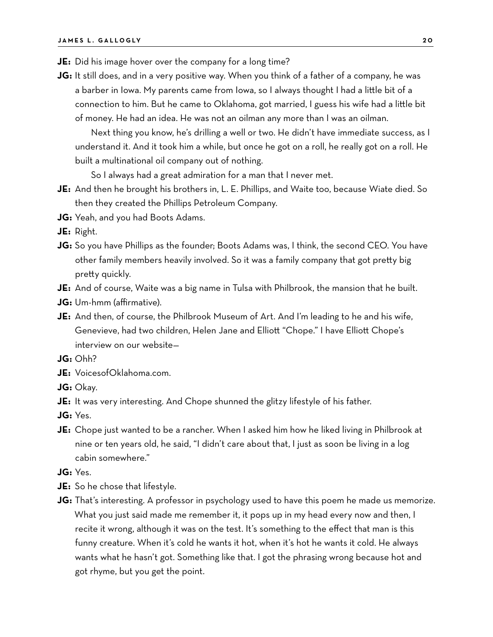- **JE:** Did his image hover over the company for a long time?
- **JG:** It still does, and in a very positive way. When you think of a father of a company, he was a barber in Iowa. My parents came from Iowa, so I always thought I had a little bit of a connection to him. But he came to Oklahoma, got married, I guess his wife had a little bit of money. He had an idea. He was not an oilman any more than I was an oilman.

Next thing you know, he's drilling a well or two. He didn't have immediate success, as I understand it. And it took him a while, but once he got on a roll, he really got on a roll. He built a multinational oil company out of nothing.

So I always had a great admiration for a man that I never met.

- **JE:** And then he brought his brothers in, L. E. Phillips, and Waite too, because Wiate died. So then they created the Phillips Petroleum Company.
- **JG:** Yeah, and you had Boots Adams.

**JE:** Right.

- **JG:** So you have Phillips as the founder; Boots Adams was, I think, the second CEO. You have other family members heavily involved. So it was a family company that got pretty big pretty quickly.
- **JE:** And of course, Waite was a big name in Tulsa with Philbrook, the mansion that he built.
- **JG:** Um-hmm (affirmative).
- **JE:** And then, of course, the Philbrook Museum of Art. And I'm leading to he and his wife, Genevieve, had two children, Helen Jane and Elliott "Chope." I have Elliott Chope's interview on our website—
- **JG:** Ohh?
- **JE:** VoicesofOklahoma.com.
- **JG:** Okay.
- **JE:** It was very interesting. And Chope shunned the glitzy lifestyle of his father.
- **JG:** Yes.
- **JE:** Chope just wanted to be a rancher. When I asked him how he liked living in Philbrook at nine or ten years old, he said, "I didn't care about that, I just as soon be living in a log cabin somewhere."
- **JG:** Yes.
- **JE:** So he chose that lifestyle.
- **JG:** That's interesting. A professor in psychology used to have this poem he made us memorize. What you just said made me remember it, it pops up in my head every now and then, I recite it wrong, although it was on the test. It's something to the effect that man is this funny creature. When it's cold he wants it hot, when it's hot he wants it cold. He always wants what he hasn't got. Something like that. I got the phrasing wrong because hot and got rhyme, but you get the point.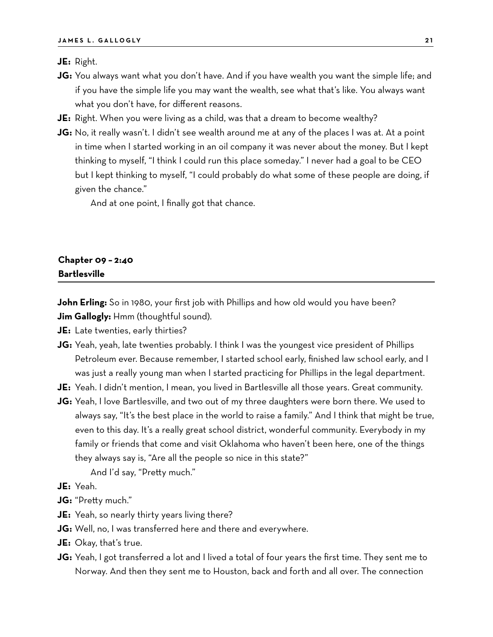**JE:** Right.

- **JG:** You always want what you don't have. And if you have wealth you want the simple life; and if you have the simple life you may want the wealth, see what that's like. You always want what you don't have, for different reasons.
- **JE:** Right. When you were living as a child, was that a dream to become wealthy?
- **JG:** No, it really wasn't. I didn't see wealth around me at any of the places I was at. At a point in time when I started working in an oil company it was never about the money. But I kept thinking to myself, "I think I could run this place someday." I never had a goal to be CEO but I kept thinking to myself, "I could probably do what some of these people are doing, if given the chance."

And at one point, I finally got that chance.

#### **Chapter 09 – 2:40 Bartlesville**

**John Erling:** So in 1980, your first job with Phillips and how old would you have been?

**Jim Gallogly:** Hmm (thoughtful sound).

- **JE:** Late twenties, early thirties?
- **JG:** Yeah, yeah, late twenties probably. I think I was the youngest vice president of Phillips Petroleum ever. Because remember, I started school early, finished law school early, and I was just a really young man when I started practicing for Phillips in the legal department.
- **JE:** Yeah. I didn't mention, I mean, you lived in Bartlesville all those years. Great community.
- **JG:** Yeah, I love Bartlesville, and two out of my three daughters were born there. We used to always say, "It's the best place in the world to raise a family." And I think that might be true, even to this day. It's a really great school district, wonderful community. Everybody in my family or friends that come and visit Oklahoma who haven't been here, one of the things they always say is, "Are all the people so nice in this state?"

And I'd say, "Pretty much."

**JE:** Yeah.

- **JG:** "Pretty much."
- **JE:** Yeah, so nearly thirty years living there?
- **JG:** Well, no, I was transferred here and there and everywhere.
- **JE:** Okay, that's true.
- **JG:** Yeah, I got transferred a lot and I lived a total of four years the first time. They sent me to Norway. And then they sent me to Houston, back and forth and all over. The connection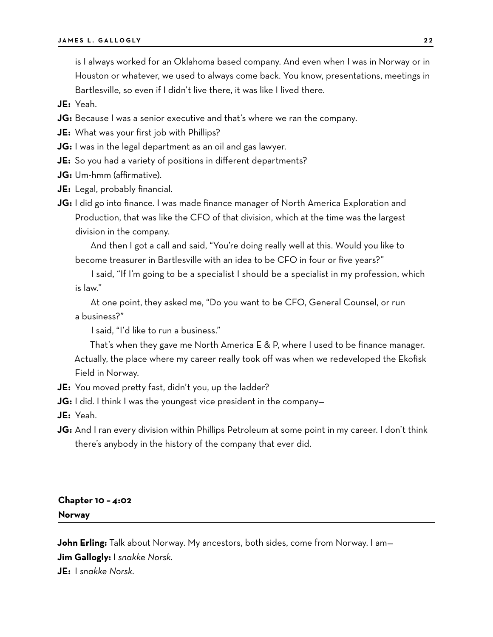is I always worked for an Oklahoma based company. And even when I was in Norway or in Houston or whatever, we used to always come back. You know, presentations, meetings in Bartlesville, so even if I didn't live there, it was like I lived there.

**JE:** Yeah.

- **JG:** Because I was a senior executive and that's where we ran the company.
- **JE:** What was your first job with Phillips?
- **JG:** I was in the legal department as an oil and gas lawyer.
- **JE:** So you had a variety of positions in different departments?
- **JG:** Um-hmm (affirmative).
- **JE:** Legal, probably financial.
- **JG:** I did go into finance. I was made finance manager of North America Exploration and Production, that was like the CFO of that division, which at the time was the largest division in the company.

And then I got a call and said, "You're doing really well at this. Would you like to become treasurer in Bartlesville with an idea to be CFO in four or five years?"

I said, "If I'm going to be a specialist I should be a specialist in my profession, which is law."

At one point, they asked me, "Do you want to be CFO, General Counsel, or run a business?"

I said, "I'd like to run a business."

That's when they gave me North America E & P, where I used to be finance manager. Actually, the place where my career really took off was when we redeveloped the Ekofisk Field in Norway.

**JE:** You moved pretty fast, didn't you, up the ladder?

**JG:** I did. I think I was the youngest vice president in the company-

**JE:** Yeah.

**JG:** And I ran every division within Phillips Petroleum at some point in my career. I don't think there's anybody in the history of the company that ever did.

### **Chapter 10 – 4:02 Norway**

**John Erling:** Talk about Norway. My ancestors, both sides, come from Norway. I am— **Jim Gallogly:** I *snakke Norsk.*

**JE:** I *snakke Norsk.*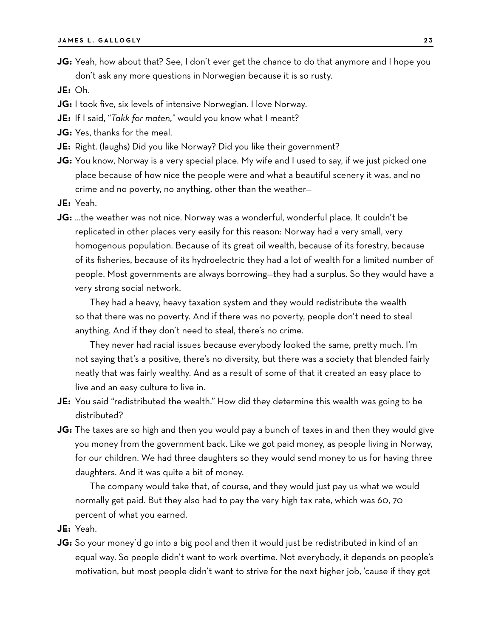**JG:** Yeah, how about that? See, I don't ever get the chance to do that anymore and I hope you don't ask any more questions in Norwegian because it is so rusty.

**JE:** Oh.

- **JG:** I took five, six levels of intensive Norwegian. I love Norway.
- **JE:** If I said, "*Takk for maten,"* would you know what I meant?
- **JG:** Yes, thanks for the meal.
- **JE:** Right. (laughs) Did you like Norway? Did you like their government?
- **JG:** You know, Norway is a very special place. My wife and I used to say, if we just picked one place because of how nice the people were and what a beautiful scenery it was, and no crime and no poverty, no anything, other than the weather—
- **JE:** Yeah.
- **JG:** …the weather was not nice. Norway was a wonderful, wonderful place. It couldn't be replicated in other places very easily for this reason: Norway had a very small, very homogenous population. Because of its great oil wealth, because of its forestry, because of its fisheries, because of its hydroelectric they had a lot of wealth for a limited number of people. Most governments are always borrowing—they had a surplus. So they would have a very strong social network.

They had a heavy, heavy taxation system and they would redistribute the wealth so that there was no poverty. And if there was no poverty, people don't need to steal anything. And if they don't need to steal, there's no crime.

They never had racial issues because everybody looked the same, pretty much. I'm not saying that's a positive, there's no diversity, but there was a society that blended fairly neatly that was fairly wealthy. And as a result of some of that it created an easy place to live and an easy culture to live in.

- **JE:** You said "redistributed the wealth." How did they determine this wealth was going to be distributed?
- **JG:** The taxes are so high and then you would pay a bunch of taxes in and then they would give you money from the government back. Like we got paid money, as people living in Norway, for our children. We had three daughters so they would send money to us for having three daughters. And it was quite a bit of money.

The company would take that, of course, and they would just pay us what we would normally get paid. But they also had to pay the very high tax rate, which was 60, 70 percent of what you earned.

- **JE:** Yeah.
- **JG:** So your money'd go into a big pool and then it would just be redistributed in kind of an equal way. So people didn't want to work overtime. Not everybody, it depends on people's motivation, but most people didn't want to strive for the next higher job, 'cause if they got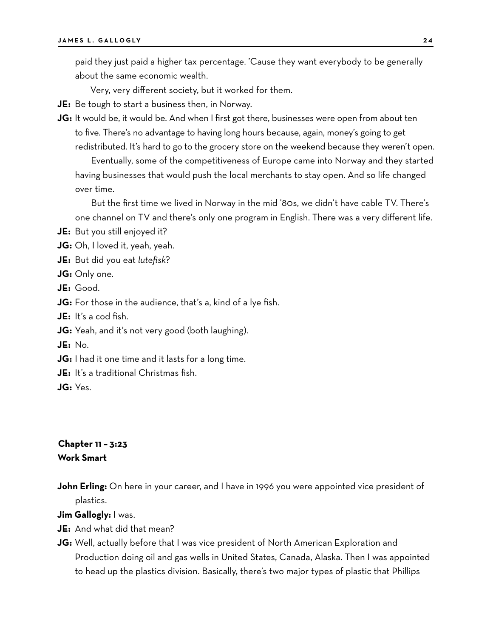paid they just paid a higher tax percentage. 'Cause they want everybody to be generally about the same economic wealth.

Very, very different society, but it worked for them.

- **JE:** Be tough to start a business then, in Norway.
- **JG:** It would be, it would be. And when I first got there, businesses were open from about ten to five. There's no advantage to having long hours because, again, money's going to get redistributed. It's hard to go to the grocery store on the weekend because they weren't open.

Eventually, some of the competitiveness of Europe came into Norway and they started having businesses that would push the local merchants to stay open. And so life changed over time.

But the first time we lived in Norway in the mid '80s, we didn't have cable TV. There's one channel on TV and there's only one program in English. There was a very different life.

**JE:** But you still enjoyed it?

**JG:** Oh, I loved it, yeah, yeah.

- **JE:** But did you eat *lutefisk*?
- **JG:** Only one.
- **JE:** Good.
- **JG:** For those in the audience, that's a, kind of a lye fish.
- **JE:** It's a cod fish.

**JG:** Yeah, and it's not very good (both laughing).

**JE:** No.

**JG:** I had it one time and it lasts for a long time.

**JE:** It's a traditional Christmas fish.

**JG:** Yes.

# **Chapter 11 – 3:23 Work Smart**

John Erling: On here in your career, and I have in 1996 you were appointed vice president of plastics.

**Jim Gallogly:** I was.

- **JE:** And what did that mean?
- **JG:** Well, actually before that I was vice president of North American Exploration and Production doing oil and gas wells in United States, Canada, Alaska. Then I was appointed to head up the plastics division. Basically, there's two major types of plastic that Phillips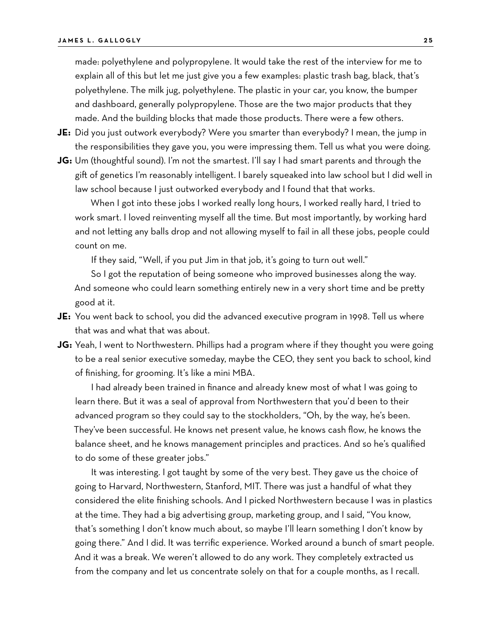made: polyethylene and polypropylene. It would take the rest of the interview for me to explain all of this but let me just give you a few examples: plastic trash bag, black, that's polyethylene. The milk jug, polyethylene. The plastic in your car, you know, the bumper and dashboard, generally polypropylene. Those are the two major products that they made. And the building blocks that made those products. There were a few others.

- **JE:** Did you just outwork everybody? Were you smarter than everybody? I mean, the jump in the responsibilities they gave you, you were impressing them. Tell us what you were doing.
- **JG:** Um (thoughtful sound). I'm not the smartest. I'll say I had smart parents and through the gift of genetics I'm reasonably intelligent. I barely squeaked into law school but I did well in law school because I just outworked everybody and I found that that works.

When I got into these jobs I worked really long hours, I worked really hard, I tried to work smart. I loved reinventing myself all the time. But most importantly, by working hard and not letting any balls drop and not allowing myself to fail in all these jobs, people could count on me.

If they said, "Well, if you put Jim in that job, it's going to turn out well."

So I got the reputation of being someone who improved businesses along the way. And someone who could learn something entirely new in a very short time and be pretty good at it.

- **JE:** You went back to school, you did the advanced executive program in 1998. Tell us where that was and what that was about.
- **JG:** Yeah, I went to Northwestern. Phillips had a program where if they thought you were going to be a real senior executive someday, maybe the CEO, they sent you back to school, kind of finishing, for grooming. It's like a mini MBA.

I had already been trained in finance and already knew most of what I was going to learn there. But it was a seal of approval from Northwestern that you'd been to their advanced program so they could say to the stockholders, "Oh, by the way, he's been. They've been successful. He knows net present value, he knows cash flow, he knows the balance sheet, and he knows management principles and practices. And so he's qualified to do some of these greater jobs."

It was interesting. I got taught by some of the very best. They gave us the choice of going to Harvard, Northwestern, Stanford, MIT. There was just a handful of what they considered the elite finishing schools. And I picked Northwestern because I was in plastics at the time. They had a big advertising group, marketing group, and I said, "You know, that's something I don't know much about, so maybe I'll learn something I don't know by going there." And I did. It was terrific experience. Worked around a bunch of smart people. And it was a break. We weren't allowed to do any work. They completely extracted us from the company and let us concentrate solely on that for a couple months, as I recall.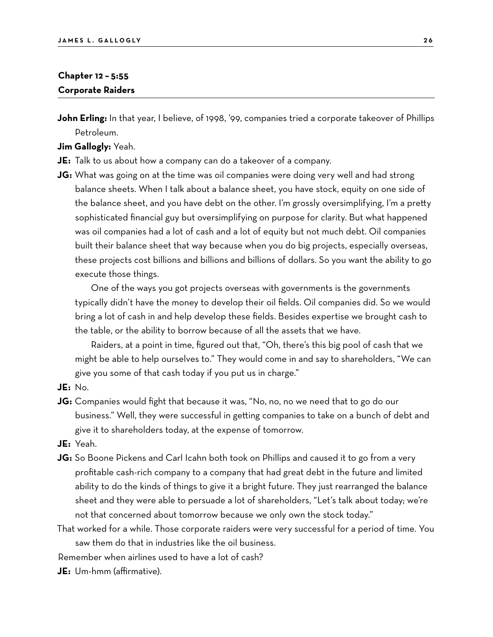# **Chapter 12 – 5:55 Corporate Raiders**

**John Erling:** In that year, I believe, of 1998, '99, companies tried a corporate takeover of Phillips Petroleum.

**Jim Gallogly:** Yeah.

- **JE:** Talk to us about how a company can do a takeover of a company.
- **JG:** What was going on at the time was oil companies were doing very well and had strong balance sheets. When I talk about a balance sheet, you have stock, equity on one side of the balance sheet, and you have debt on the other. I'm grossly oversimplifying, I'm a pretty sophisticated financial guy but oversimplifying on purpose for clarity. But what happened was oil companies had a lot of cash and a lot of equity but not much debt. Oil companies built their balance sheet that way because when you do big projects, especially overseas, these projects cost billions and billions and billions of dollars. So you want the ability to go execute those things.

One of the ways you got projects overseas with governments is the governments typically didn't have the money to develop their oil fields. Oil companies did. So we would bring a lot of cash in and help develop these fields. Besides expertise we brought cash to the table, or the ability to borrow because of all the assets that we have.

Raiders, at a point in time, figured out that, "Oh, there's this big pool of cash that we might be able to help ourselves to." They would come in and say to shareholders, "We can give you some of that cash today if you put us in charge."

**JE:** No.

**JG:** Companies would fight that because it was, "No, no, no we need that to go do our business." Well, they were successful in getting companies to take on a bunch of debt and give it to shareholders today, at the expense of tomorrow.

**JE:** Yeah.

**JG:** So Boone Pickens and Carl Icahn both took on Phillips and caused it to go from a very profitable cash-rich company to a company that had great debt in the future and limited ability to do the kinds of things to give it a bright future. They just rearranged the balance sheet and they were able to persuade a lot of shareholders, "Let's talk about today; we're not that concerned about tomorrow because we only own the stock today."

That worked for a while. Those corporate raiders were very successful for a period of time. You saw them do that in industries like the oil business.

Remember when airlines used to have a lot of cash?

**JE:** Um-hmm (affirmative).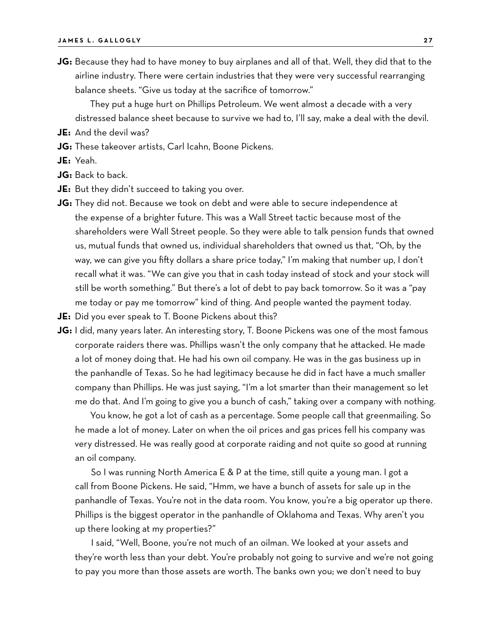**JG:** Because they had to have money to buy airplanes and all of that. Well, they did that to the airline industry. There were certain industries that they were very successful rearranging balance sheets. "Give us today at the sacrifice of tomorrow."

They put a huge hurt on Phillips Petroleum. We went almost a decade with a very distressed balance sheet because to survive we had to, I'll say, make a deal with the devil.

- **JE:** And the devil was?
- **JG:** These takeover artists, Carl Icahn, Boone Pickens.
- **JE:** Yeah.
- **JG:** Back to back.
- **JE:** But they didn't succeed to taking you over.
- **JG:** They did not. Because we took on debt and were able to secure independence at the expense of a brighter future. This was a Wall Street tactic because most of the shareholders were Wall Street people. So they were able to talk pension funds that owned us, mutual funds that owned us, individual shareholders that owned us that, "Oh, by the way, we can give you fifty dollars a share price today," I'm making that number up, I don't recall what it was. "We can give you that in cash today instead of stock and your stock will still be worth something." But there's a lot of debt to pay back tomorrow. So it was a "pay me today or pay me tomorrow" kind of thing. And people wanted the payment today.
- **JE:** Did you ever speak to T. Boone Pickens about this?
- **JG:** I did, many years later. An interesting story, T. Boone Pickens was one of the most famous corporate raiders there was. Phillips wasn't the only company that he attacked. He made a lot of money doing that. He had his own oil company. He was in the gas business up in the panhandle of Texas. So he had legitimacy because he did in fact have a much smaller company than Phillips. He was just saying, "I'm a lot smarter than their management so let me do that. And I'm going to give you a bunch of cash," taking over a company with nothing.

You know, he got a lot of cash as a percentage. Some people call that greenmailing. So he made a lot of money. Later on when the oil prices and gas prices fell his company was very distressed. He was really good at corporate raiding and not quite so good at running an oil company.

So I was running North America E & P at the time, still quite a young man. I got a call from Boone Pickens. He said, "Hmm, we have a bunch of assets for sale up in the panhandle of Texas. You're not in the data room. You know, you're a big operator up there. Phillips is the biggest operator in the panhandle of Oklahoma and Texas. Why aren't you up there looking at my properties?"

I said, "Well, Boone, you're not much of an oilman. We looked at your assets and they're worth less than your debt. You're probably not going to survive and we're not going to pay you more than those assets are worth. The banks own you; we don't need to buy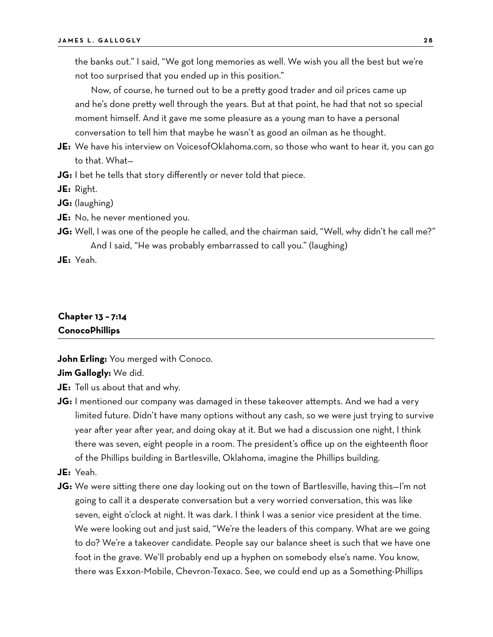the banks out." I said, "We got long memories as well. We wish you all the best but we're not too surprised that you ended up in this position."

Now, of course, he turned out to be a pretty good trader and oil prices came up and he's done pretty well through the years. But at that point, he had that not so special moment himself. And it gave me some pleasure as a young man to have a personal conversation to tell him that maybe he wasn't as good an oilman as he thought.

- **JE:** We have his interview on VoicesofOklahoma.com, so those who want to hear it, you can go to that. What—
- **JG:** I bet he tells that story differently or never told that piece.

**JE:** Right.

**JG:** (laughing)

- **JE:** No, he never mentioned you.
- **JG:** Well, I was one of the people he called, and the chairman said, "Well, why didn't he call me?" And I said, "He was probably embarrassed to call you." (laughing)

**JE:** Yeah.

# **Chapter 13 – 7:14 ConocoPhillips**

**John Erling:** You merged with Conoco.

#### **Jim Gallogly:** We did.

- **JE:** Tell us about that and why.
- **JG:** I mentioned our company was damaged in these takeover attempts. And we had a very limited future. Didn't have many options without any cash, so we were just trying to survive year after year after year, and doing okay at it. But we had a discussion one night, I think there was seven, eight people in a room. The president's office up on the eighteenth floor of the Phillips building in Bartlesville, Oklahoma, imagine the Phillips building.
- **JE:** Yeah.
- **JG:** We were sitting there one day looking out on the town of Bartlesville, having this—I'm not going to call it a desperate conversation but a very worried conversation, this was like seven, eight o'clock at night. It was dark. I think I was a senior vice president at the time. We were looking out and just said, "We're the leaders of this company. What are we going to do? We're a takeover candidate. People say our balance sheet is such that we have one foot in the grave. We'll probably end up a hyphen on somebody else's name. You know, there was Exxon-Mobile, Chevron-Texaco. See, we could end up as a Something-Phillips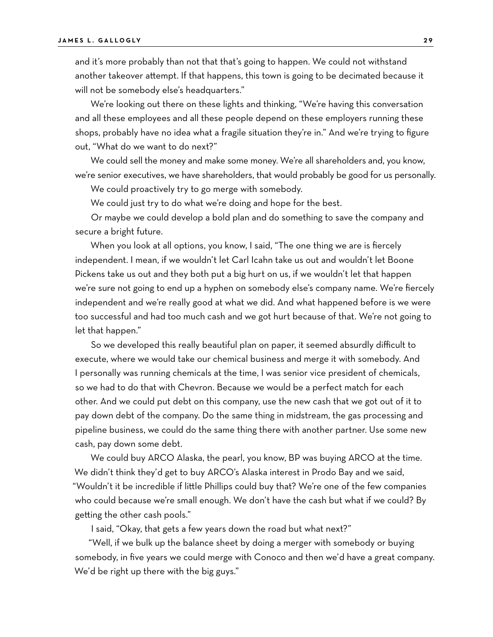and it's more probably than not that that's going to happen. We could not withstand another takeover attempt. If that happens, this town is going to be decimated because it will not be somebody else's headquarters."

We're looking out there on these lights and thinking, "We're having this conversation and all these employees and all these people depend on these employers running these shops, probably have no idea what a fragile situation they're in." And we're trying to figure out, "What do we want to do next?"

We could sell the money and make some money. We're all shareholders and, you know, we're senior executives, we have shareholders, that would probably be good for us personally.

We could proactively try to go merge with somebody.

We could just try to do what we're doing and hope for the best.

Or maybe we could develop a bold plan and do something to save the company and secure a bright future.

When you look at all options, you know, I said, "The one thing we are is fiercely independent. I mean, if we wouldn't let Carl Icahn take us out and wouldn't let Boone Pickens take us out and they both put a big hurt on us, if we wouldn't let that happen we're sure not going to end up a hyphen on somebody else's company name. We're fiercely independent and we're really good at what we did. And what happened before is we were too successful and had too much cash and we got hurt because of that. We're not going to let that happen."

So we developed this really beautiful plan on paper, it seemed absurdly difficult to execute, where we would take our chemical business and merge it with somebody. And I personally was running chemicals at the time, I was senior vice president of chemicals, so we had to do that with Chevron. Because we would be a perfect match for each other. And we could put debt on this company, use the new cash that we got out of it to pay down debt of the company. Do the same thing in midstream, the gas processing and pipeline business, we could do the same thing there with another partner. Use some new cash, pay down some debt.

We could buy ARCO Alaska, the pearl, you know, BP was buying ARCO at the time. We didn't think they'd get to buy ARCO's Alaska interest in Prodo Bay and we said, "Wouldn't it be incredible if little Phillips could buy that? We're one of the few companies who could because we're small enough. We don't have the cash but what if we could? By getting the other cash pools."

I said, "Okay, that gets a few years down the road but what next?"

"Well, if we bulk up the balance sheet by doing a merger with somebody or buying somebody, in five years we could merge with Conoco and then we'd have a great company. We'd be right up there with the big guys."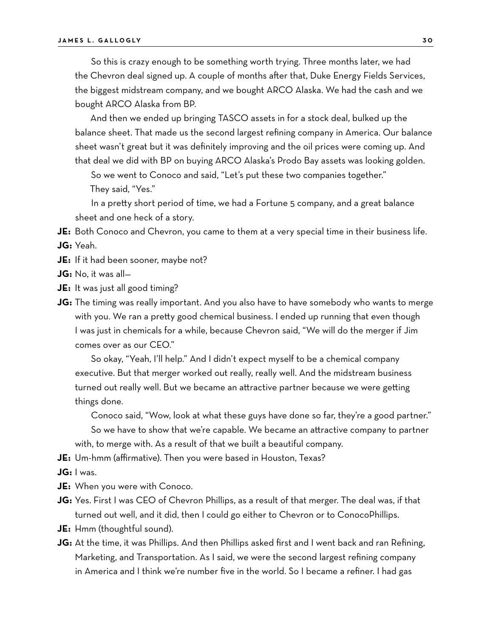So this is crazy enough to be something worth trying. Three months later, we had the Chevron deal signed up. A couple of months after that, Duke Energy Fields Services, the biggest midstream company, and we bought ARCO Alaska. We had the cash and we bought ARCO Alaska from BP.

And then we ended up bringing TASCO assets in for a stock deal, bulked up the balance sheet. That made us the second largest refining company in America. Our balance sheet wasn't great but it was definitely improving and the oil prices were coming up. And that deal we did with BP on buying ARCO Alaska's Prodo Bay assets was looking golden.

So we went to Conoco and said, "Let's put these two companies together." They said, "Yes."

In a pretty short period of time, we had a Fortune 5 company, and a great balance sheet and one heck of a story.

**JE:** Both Conoco and Chevron, you came to them at a very special time in their business life. **JG:** Yeah.

- **JE:** If it had been sooner, maybe not?
- **JG:** No, it was all—
- **JE:** It was just all good timing?
- **JG:** The timing was really important. And you also have to have somebody who wants to merge with you. We ran a pretty good chemical business. I ended up running that even though I was just in chemicals for a while, because Chevron said, "We will do the merger if Jim comes over as our CEO."

So okay, "Yeah, I'll help." And I didn't expect myself to be a chemical company executive. But that merger worked out really, really well. And the midstream business turned out really well. But we became an attractive partner because we were getting things done.

Conoco said, "Wow, look at what these guys have done so far, they're a good partner." So we have to show that we're capable. We became an attractive company to partner with, to merge with. As a result of that we built a beautiful company.

**JE:** Um-hmm (affirmative). Then you were based in Houston, Texas?

**JG:** I was.

- **JE:** When you were with Conoco.
- **JG:** Yes. First I was CEO of Chevron Phillips, as a result of that merger. The deal was, if that turned out well, and it did, then I could go either to Chevron or to ConocoPhillips.
- **JE:** Hmm (thoughtful sound).
- **JG:** At the time, it was Phillips. And then Phillips asked first and I went back and ran Refining, Marketing, and Transportation. As I said, we were the second largest refining company in America and I think we're number five in the world. So I became a refiner. I had gas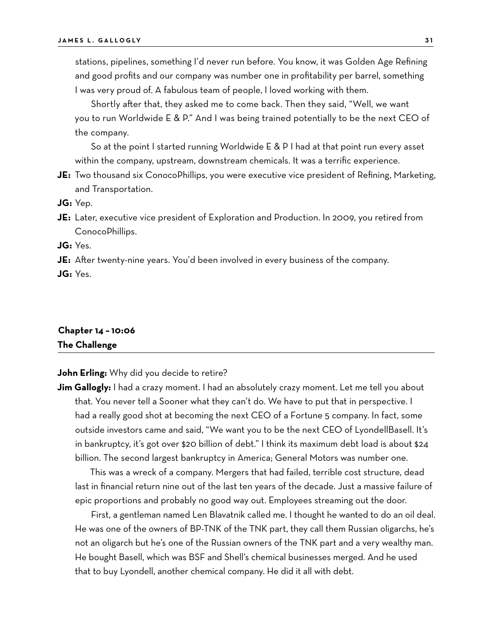stations, pipelines, something I'd never run before. You know, it was Golden Age Refining and good profits and our company was number one in profitability per barrel, something I was very proud of. A fabulous team of people, I loved working with them.

Shortly after that, they asked me to come back. Then they said, "Well, we want you to run Worldwide E & P." And I was being trained potentially to be the next CEO of the company.

So at the point I started running Worldwide E & P I had at that point run every asset within the company, upstream, downstream chemicals. It was a terrific experience.

**JE:** Two thousand six ConocoPhillips, you were executive vice president of Refining, Marketing, and Transportation.

**JG:** Yep.

**JE:** Later, executive vice president of Exploration and Production. In 2009, you retired from ConocoPhillips.

**JG:** Yes.

**JE:** After twenty-nine years. You'd been involved in every business of the company.

**JG:** Yes.

# **Chapter 14 – 10:06 The Challenge**

#### **John Erling:** Why did you decide to retire?

**Jim Gallogly:** I had a crazy moment. I had an absolutely crazy moment. Let me tell you about that. You never tell a Sooner what they can't do. We have to put that in perspective. I had a really good shot at becoming the next CEO of a Fortune 5 company. In fact, some outside investors came and said, "We want you to be the next CEO of LyondellBasell. It's in bankruptcy, it's got over \$20 billion of debt." I think its maximum debt load is about \$24 billion. The second largest bankruptcy in America; General Motors was number one.

This was a wreck of a company. Mergers that had failed, terrible cost structure, dead last in financial return nine out of the last ten years of the decade. Just a massive failure of epic proportions and probably no good way out. Employees streaming out the door.

First, a gentleman named Len Blavatnik called me. I thought he wanted to do an oil deal. He was one of the owners of BP-TNK of the TNK part, they call them Russian oligarchs, he's not an oligarch but he's one of the Russian owners of the TNK part and a very wealthy man. He bought Basell, which was BSF and Shell's chemical businesses merged. And he used that to buy Lyondell, another chemical company. He did it all with debt.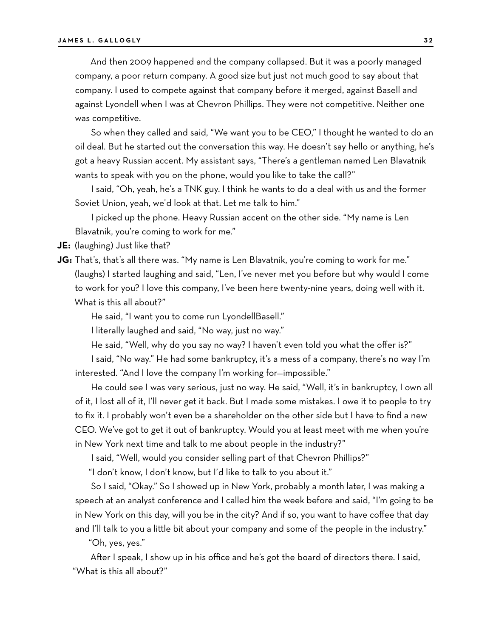And then 2009 happened and the company collapsed. But it was a poorly managed company, a poor return company. A good size but just not much good to say about that company. I used to compete against that company before it merged, against Basell and against Lyondell when I was at Chevron Phillips. They were not competitive. Neither one was competitive.

So when they called and said, "We want you to be CEO," I thought he wanted to do an oil deal. But he started out the conversation this way. He doesn't say hello or anything, he's got a heavy Russian accent. My assistant says, "There's a gentleman named Len Blavatnik wants to speak with you on the phone, would you like to take the call?"

I said, "Oh, yeah, he's a TNK guy. I think he wants to do a deal with us and the former Soviet Union, yeah, we'd look at that. Let me talk to him."

I picked up the phone. Heavy Russian accent on the other side. "My name is Len Blavatnik, you're coming to work for me."

**JE:** (laughing) Just like that?

**JG:** That's, that's all there was. "My name is Len Blavatnik, you're coming to work for me." (laughs) I started laughing and said, "Len, I've never met you before but why would I come to work for you? I love this company, I've been here twenty-nine years, doing well with it. What is this all about?"

He said, "I want you to come run LyondellBasell."

I literally laughed and said, "No way, just no way."

He said, "Well, why do you say no way? I haven't even told you what the offer is?"

I said, "No way." He had some bankruptcy, it's a mess of a company, there's no way I'm interested. "And I love the company I'm working for—impossible."

He could see I was very serious, just no way. He said, "Well, it's in bankruptcy, I own all of it, I lost all of it, I'll never get it back. But I made some mistakes. I owe it to people to try to fix it. I probably won't even be a shareholder on the other side but I have to find a new CEO. We've got to get it out of bankruptcy. Would you at least meet with me when you're in New York next time and talk to me about people in the industry?"

I said, "Well, would you consider selling part of that Chevron Phillips?"

"I don't know, I don't know, but I'd like to talk to you about it."

So I said, "Okay." So I showed up in New York, probably a month later, I was making a speech at an analyst conference and I called him the week before and said, "I'm going to be in New York on this day, will you be in the city? And if so, you want to have coffee that day and I'll talk to you a little bit about your company and some of the people in the industry."

"Oh, yes, yes."

After I speak, I show up in his office and he's got the board of directors there. I said, "What is this all about?"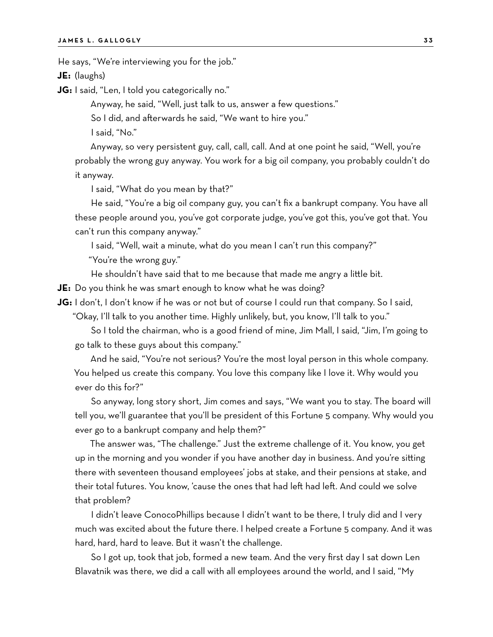He says, "We're interviewing you for the job."

**JE:** (laughs)

**JG:** I said, "Len, I told you categorically no."

Anyway, he said, "Well, just talk to us, answer a few questions."

So I did, and afterwards he said, "We want to hire you."

I said, "No."

Anyway, so very persistent guy, call, call, call. And at one point he said, "Well, you're probably the wrong guy anyway. You work for a big oil company, you probably couldn't do it anyway.

I said, "What do you mean by that?"

He said, "You're a big oil company guy, you can't fix a bankrupt company. You have all these people around you, you've got corporate judge, you've got this, you've got that. You can't run this company anyway."

I said, "Well, wait a minute, what do you mean I can't run this company?"

"You're the wrong guy."

He shouldn't have said that to me because that made me angry a little bit.

**JE:** Do you think he was smart enough to know what he was doing?

**JG:** I don't, I don't know if he was or not but of course I could run that company. So I said,

"Okay, I'll talk to you another time. Highly unlikely, but, you know, I'll talk to you."

So I told the chairman, who is a good friend of mine, Jim Mall, I said, "Jim, I'm going to go talk to these guys about this company."

And he said, "You're not serious? You're the most loyal person in this whole company. You helped us create this company. You love this company like I love it. Why would you ever do this for?"

So anyway, long story short, Jim comes and says, "We want you to stay. The board will tell you, we'll guarantee that you'll be president of this Fortune 5 company. Why would you ever go to a bankrupt company and help them?"

The answer was, "The challenge." Just the extreme challenge of it. You know, you get up in the morning and you wonder if you have another day in business. And you're sitting there with seventeen thousand employees' jobs at stake, and their pensions at stake, and their total futures. You know, 'cause the ones that had left had left. And could we solve that problem?

I didn't leave ConocoPhillips because I didn't want to be there, I truly did and I very much was excited about the future there. I helped create a Fortune 5 company. And it was hard, hard, hard to leave. But it wasn't the challenge.

So I got up, took that job, formed a new team. And the very first day I sat down Len Blavatnik was there, we did a call with all employees around the world, and I said, "My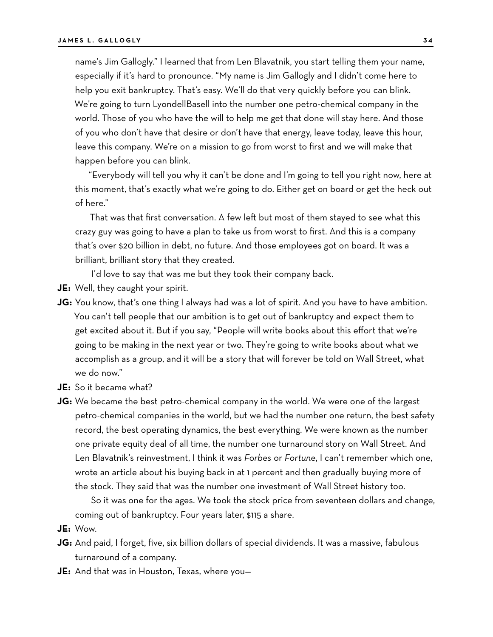name's Jim Gallogly." I learned that from Len Blavatnik, you start telling them your name, especially if it's hard to pronounce. "My name is Jim Gallogly and I didn't come here to help you exit bankruptcy. That's easy. We'll do that very quickly before you can blink. We're going to turn LyondellBasell into the number one petro-chemical company in the world. Those of you who have the will to help me get that done will stay here. And those of you who don't have that desire or don't have that energy, leave today, leave this hour, leave this company. We're on a mission to go from worst to first and we will make that happen before you can blink.

"Everybody will tell you why it can't be done and I'm going to tell you right now, here at this moment, that's exactly what we're going to do. Either get on board or get the heck out of here."

That was that first conversation. A few left but most of them stayed to see what this crazy guy was going to have a plan to take us from worst to first. And this is a company that's over \$20 billion in debt, no future. And those employees got on board. It was a brilliant, brilliant story that they created.

I'd love to say that was me but they took their company back.

- **JE:** Well, they caught your spirit.
- **JG:** You know, that's one thing I always had was a lot of spirit. And you have to have ambition. You can't tell people that our ambition is to get out of bankruptcy and expect them to get excited about it. But if you say, "People will write books about this effort that we're going to be making in the next year or two. They're going to write books about what we accomplish as a group, and it will be a story that will forever be told on Wall Street, what we do now."
- **JE:** So it became what?
- **JG:** We became the best petro-chemical company in the world. We were one of the largest petro-chemical companies in the world, but we had the number one return, the best safety record, the best operating dynamics, the best everything. We were known as the number one private equity deal of all time, the number one turnaround story on Wall Street. And Len Blavatnik's reinvestment, I think it was *Forbes* or *Fortune*, I can't remember which one, wrote an article about his buying back in at 1 percent and then gradually buying more of the stock. They said that was the number one investment of Wall Street history too.

So it was one for the ages. We took the stock price from seventeen dollars and change, coming out of bankruptcy. Four years later, \$115 a share.

- **JE:** Wow.
- **JG:** And paid, I forget, five, six billion dollars of special dividends. It was a massive, fabulous turnaround of a company.
- **JE:** And that was in Houston, Texas, where you—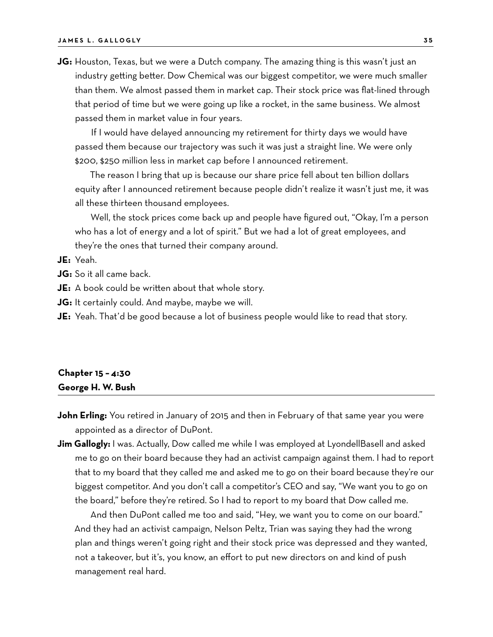**JG:** Houston, Texas, but we were a Dutch company. The amazing thing is this wasn't just an industry getting better. Dow Chemical was our biggest competitor, we were much smaller than them. We almost passed them in market cap. Their stock price was flat-lined through that period of time but we were going up like a rocket, in the same business. We almost passed them in market value in four years.

If I would have delayed announcing my retirement for thirty days we would have passed them because our trajectory was such it was just a straight line. We were only \$200, \$250 million less in market cap before I announced retirement.

The reason I bring that up is because our share price fell about ten billion dollars equity after I announced retirement because people didn't realize it wasn't just me, it was all these thirteen thousand employees.

Well, the stock prices come back up and people have figured out, "Okay, I'm a person who has a lot of energy and a lot of spirit." But we had a lot of great employees, and they're the ones that turned their company around.

#### **JE:** Yeah.

**JG:** So it all came back.

**JE:** A book could be written about that whole story.

**JG:** It certainly could. And maybe, maybe we will.

**JE:** Yeah. That'd be good because a lot of business people would like to read that story.

# **Chapter 15 – 4:30 George H. W. Bush**

- **John Erling:** You retired in January of 2015 and then in February of that same year you were appointed as a director of DuPont.
- **Jim Gallogly:** I was. Actually, Dow called me while I was employed at LyondellBasell and asked me to go on their board because they had an activist campaign against them. I had to report that to my board that they called me and asked me to go on their board because they're our biggest competitor. And you don't call a competitor's CEO and say, "We want you to go on the board," before they're retired. So I had to report to my board that Dow called me.

And then DuPont called me too and said, "Hey, we want you to come on our board." And they had an activist campaign, Nelson Peltz, Trian was saying they had the wrong plan and things weren't going right and their stock price was depressed and they wanted, not a takeover, but it's, you know, an effort to put new directors on and kind of push management real hard.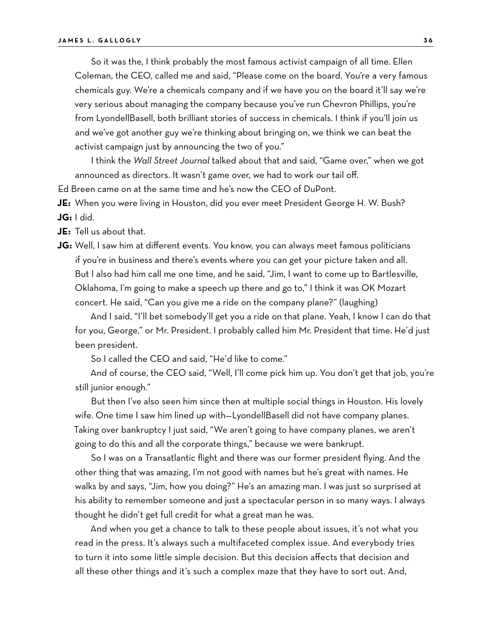So it was the, I think probably the most famous activist campaign of all time. Ellen Coleman, the CEO, called me and said, "Please come on the board. You're a very famous chemicals guy. We're a chemicals company and if we have you on the board it'll say we're very serious about managing the company because you've run Chevron Phillips, you're from LyondellBasell, both brilliant stories of success in chemicals. I think if you'll join us and we've got another guy we're thinking about bringing on, we think we can beat the activist campaign just by announcing the two of you."

I think the *Wall Street Journal* talked about that and said, "Game over," when we got announced as directors. It wasn't game over, we had to work our tail off.

Ed Breen came on at the same time and he's now the CEO of DuPont.

**JE:** When you were living in Houston, did you ever meet President George H. W. Bush? **JG:** I did.

**JE:** Tell us about that.

**JG:** Well, I saw him at different events. You know, you can always meet famous politicians if you're in business and there's events where you can get your picture taken and all. But I also had him call me one time, and he said, "Jim, I want to come up to Bartlesville, Oklahoma, I'm going to make a speech up there and go to," I think it was OK Mozart concert. He said, "Can you give me a ride on the company plane?" (laughing)

And I said, "I'll bet somebody'll get you a ride on that plane. Yeah, I know I can do that for you, George," or Mr. President. I probably called him Mr. President that time. He'd just been president.

So I called the CEO and said, "He'd like to come."

And of course, the CEO said, "Well, I'll come pick him up. You don't get that job, you're still junior enough."

But then I've also seen him since then at multiple social things in Houston. His lovely wife. One time I saw him lined up with-LyondellBasell did not have company planes. Taking over bankruptcy I just said, "We aren't going to have company planes, we aren't going to do this and all the corporate things," because we were bankrupt.

So I was on a Transatlantic flight and there was our former president flying. And the other thing that was amazing, I'm not good with names but he's great with names. He walks by and says, "Jim, how you doing?" He's an amazing man. I was just so surprised at his ability to remember someone and just a spectacular person in so many ways. I always thought he didn't get full credit for what a great man he was.

And when you get a chance to talk to these people about issues, it's not what you read in the press. It's always such a multifaceted complex issue. And everybody tries to turn it into some little simple decision. But this decision affects that decision and all these other things and it's such a complex maze that they have to sort out. And,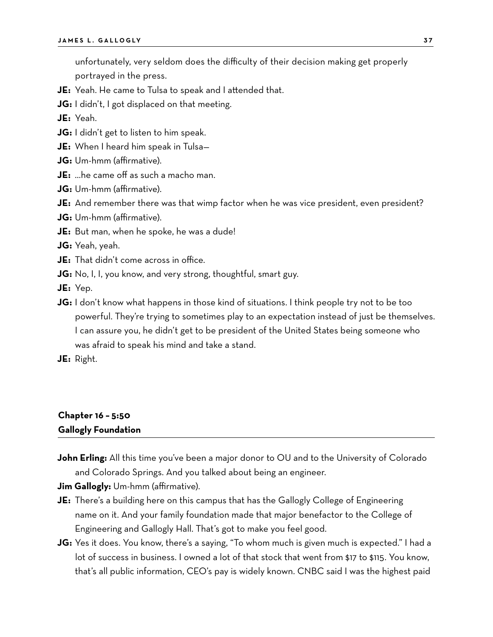unfortunately, very seldom does the difficulty of their decision making get properly portrayed in the press.

- **JE:** Yeah. He came to Tulsa to speak and I attended that.
- **JG:** I didn't, I got displaced on that meeting.

**JE:** Yeah.

- **JG:** I didn't get to listen to him speak.
- **JE:** When I heard him speak in Tulsa—
- **JG:** Um-hmm (affirmative).
- **JE:** …he came off as such a macho man.
- **JG:** Um-hmm (affirmative).
- **JE:** And remember there was that wimp factor when he was vice president, even president?
- **JG:** Um-hmm (affirmative).
- **JE:** But man, when he spoke, he was a dude!

**JG:** Yeah, yeah.

- **JE:** That didn't come across in office.
- **JG:** No, I, I, you know, and very strong, thoughtful, smart guy.
- **JE:** Yep.
- **JG:** I don't know what happens in those kind of situations. I think people try not to be too powerful. They're trying to sometimes play to an expectation instead of just be themselves. I can assure you, he didn't get to be president of the United States being someone who was afraid to speak his mind and take a stand.
- **JE:** Right.

# **Chapter 16 – 5:50 Gallogly Foundation**

**John Erling:** All this time you've been a major donor to OU and to the University of Colorado and Colorado Springs. And you talked about being an engineer.

**Jim Gallogly:** Um-hmm (affirmative).

- **JE:** There's a building here on this campus that has the Gallogly College of Engineering name on it. And your family foundation made that major benefactor to the College of Engineering and Gallogly Hall. That's got to make you feel good.
- **JG:** Yes it does. You know, there's a saying, "To whom much is given much is expected." I had a lot of success in business. I owned a lot of that stock that went from \$17 to \$115. You know, that's all public information, CEO's pay is widely known. CNBC said I was the highest paid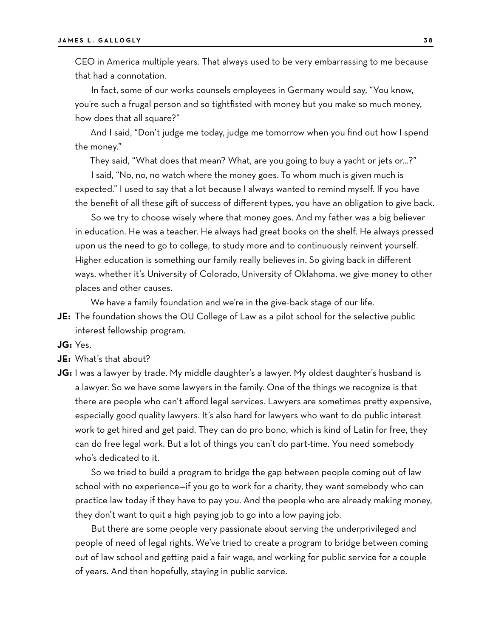CEO in America multiple years. That always used to be very embarrassing to me because that had a connotation.

In fact, some of our works counsels employees in Germany would say, "You know, you're such a frugal person and so tightfisted with money but you make so much money, how does that all square?"

And I said, "Don't judge me today, judge me tomorrow when you find out how I spend the money."

They said, "What does that mean? What, are you going to buy a yacht or jets or…?"

I said, "No, no, no watch where the money goes. To whom much is given much is expected." I used to say that a lot because I always wanted to remind myself. If you have the benefit of all these gift of success of different types, you have an obligation to give back.

So we try to choose wisely where that money goes. And my father was a big believer in education. He was a teacher. He always had great books on the shelf. He always pressed upon us the need to go to college, to study more and to continuously reinvent yourself. Higher education is something our family really believes in. So giving back in different ways, whether it's University of Colorado, University of Oklahoma, we give money to other places and other causes.

We have a family foundation and we're in the give-back stage of our life.

**JE:** The foundation shows the OU College of Law as a pilot school for the selective public interest fellowship program.

**JG:** Yes.

- **JE:** What's that about?
- **JG:** I was a lawyer by trade. My middle daughter's a lawyer. My oldest daughter's husband is a lawyer. So we have some lawyers in the family. One of the things we recognize is that there are people who can't afford legal services. Lawyers are sometimes pretty expensive, especially good quality lawyers. It's also hard for lawyers who want to do public interest work to get hired and get paid. They can do pro bono, which is kind of Latin for free, they can do free legal work. But a lot of things you can't do part-time. You need somebody who's dedicated to it.

So we tried to build a program to bridge the gap between people coming out of law school with no experience—if you go to work for a charity, they want somebody who can practice law today if they have to pay you. And the people who are already making money, they don't want to quit a high paying job to go into a low paying job.

But there are some people very passionate about serving the underprivileged and people of need of legal rights. We've tried to create a program to bridge between coming out of law school and getting paid a fair wage, and working for public service for a couple of years. And then hopefully, staying in public service.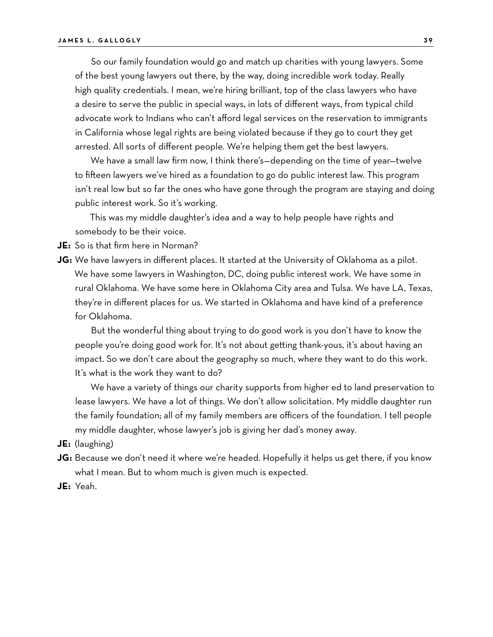So our family foundation would go and match up charities with young lawyers. Some of the best young lawyers out there, by the way, doing incredible work today. Really high quality credentials. I mean, we're hiring brilliant, top of the class lawyers who have a desire to serve the public in special ways, in lots of different ways, from typical child advocate work to Indians who can't afford legal services on the reservation to immigrants in California whose legal rights are being violated because if they go to court they get arrested. All sorts of different people. We're helping them get the best lawyers.

We have a small law firm now, I think there's—depending on the time of year—twelve to fifteen lawyers we've hired as a foundation to go do public interest law. This program isn't real low but so far the ones who have gone through the program are staying and doing public interest work. So it's working.

This was my middle daughter's idea and a way to help people have rights and somebody to be their voice.

**JE:** So is that firm here in Norman?

**JG:** We have lawyers in different places. It started at the University of Oklahoma as a pilot. We have some lawyers in Washington, DC, doing public interest work. We have some in rural Oklahoma. We have some here in Oklahoma City area and Tulsa. We have LA, Texas, they're in different places for us. We started in Oklahoma and have kind of a preference for Oklahoma.

But the wonderful thing about trying to do good work is you don't have to know the people you're doing good work for. It's not about getting thank-yous, it's about having an impact. So we don't care about the geography so much, where they want to do this work. It's what is the work they want to do?

We have a variety of things our charity supports from higher ed to land preservation to lease lawyers. We have a lot of things. We don't allow solicitation. My middle daughter run the family foundation; all of my family members are officers of the foundation. I tell people my middle daughter, whose lawyer's job is giving her dad's money away.

**JE:** (laughing)

- **JG:** Because we don't need it where we're headed. Hopefully it helps us get there, if you know what I mean. But to whom much is given much is expected.
- **JE:** Yeah.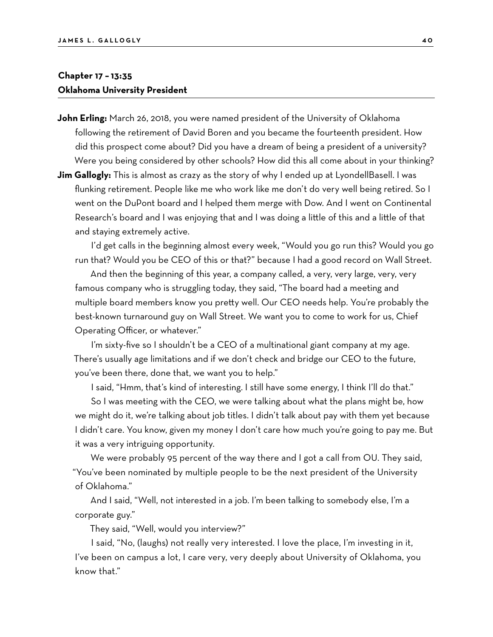### **Chapter 17 – 13:35 Oklahoma University President**

- **John Erling:** March 26, 2018, you were named president of the University of Oklahoma following the retirement of David Boren and you became the fourteenth president. How did this prospect come about? Did you have a dream of being a president of a university? Were you being considered by other schools? How did this all come about in your thinking?
- **Jim Gallogly:** This is almost as crazy as the story of why I ended up at LyondellBasell. I was flunking retirement. People like me who work like me don't do very well being retired. So I went on the DuPont board and I helped them merge with Dow. And I went on Continental Research's board and I was enjoying that and I was doing a little of this and a little of that and staying extremely active.

I'd get calls in the beginning almost every week, "Would you go run this? Would you go run that? Would you be CEO of this or that?" because I had a good record on Wall Street.

And then the beginning of this year, a company called, a very, very large, very, very famous company who is struggling today, they said, "The board had a meeting and multiple board members know you pretty well. Our CEO needs help. You're probably the best-known turnaround guy on Wall Street. We want you to come to work for us, Chief Operating Officer, or whatever."

I'm sixty-five so I shouldn't be a CEO of a multinational giant company at my age. There's usually age limitations and if we don't check and bridge our CEO to the future, you've been there, done that, we want you to help."

I said, "Hmm, that's kind of interesting. I still have some energy, I think I'll do that."

So I was meeting with the CEO, we were talking about what the plans might be, how we might do it, we're talking about job titles. I didn't talk about pay with them yet because I didn't care. You know, given my money I don't care how much you're going to pay me. But it was a very intriguing opportunity.

We were probably 95 percent of the way there and I got a call from OU. They said, "You've been nominated by multiple people to be the next president of the University of Oklahoma."

And I said, "Well, not interested in a job. I'm been talking to somebody else, I'm a corporate guy."

They said, "Well, would you interview?"

I said, "No, (laughs) not really very interested. I love the place, I'm investing in it, I've been on campus a lot, I care very, very deeply about University of Oklahoma, you know that."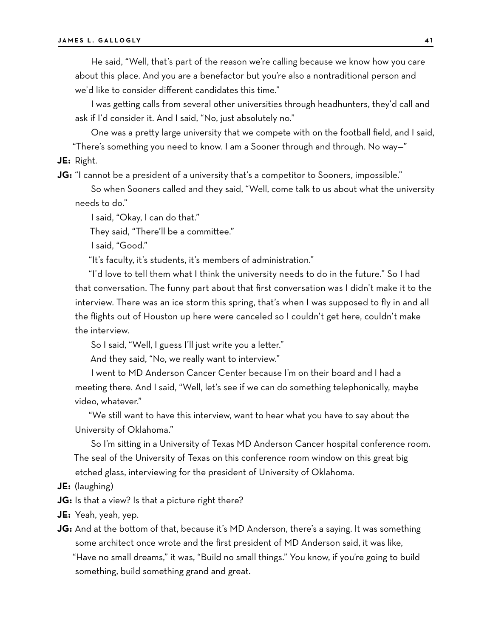He said, "Well, that's part of the reason we're calling because we know how you care about this place. And you are a benefactor but you're also a nontraditional person and we'd like to consider different candidates this time."

I was getting calls from several other universities through headhunters, they'd call and ask if I'd consider it. And I said, "No, just absolutely no."

One was a pretty large university that we compete with on the football field, and I said, "There's something you need to know. I am a Sooner through and through. No way—"

**JE:** Right.

**JG:** "I cannot be a president of a university that's a competitor to Sooners, impossible."

So when Sooners called and they said, "Well, come talk to us about what the university needs to do."

I said, "Okay, I can do that."

They said, "There'll be a committee."

I said, "Good."

"It's faculty, it's students, it's members of administration."

"I'd love to tell them what I think the university needs to do in the future." So I had that conversation. The funny part about that first conversation was I didn't make it to the interview. There was an ice storm this spring, that's when I was supposed to fly in and all the flights out of Houston up here were canceled so I couldn't get here, couldn't make the interview.

So I said, "Well, I guess I'll just write you a letter."

And they said, "No, we really want to interview."

I went to MD Anderson Cancer Center because I'm on their board and I had a meeting there. And I said, "Well, let's see if we can do something telephonically, maybe video, whatever."

"We still want to have this interview, want to hear what you have to say about the University of Oklahoma."

So I'm sitting in a University of Texas MD Anderson Cancer hospital conference room. The seal of the University of Texas on this conference room window on this great big etched glass, interviewing for the president of University of Oklahoma.

- **JE:** (laughing)
- **JG:** Is that a view? Is that a picture right there?
- **JE:** Yeah, yeah, yep.

**JG:** And at the bottom of that, because it's MD Anderson, there's a saying. It was something some architect once wrote and the first president of MD Anderson said, it was like, "Have no small dreams," it was, "Build no small things." You know, if you're going to build something, build something grand and great.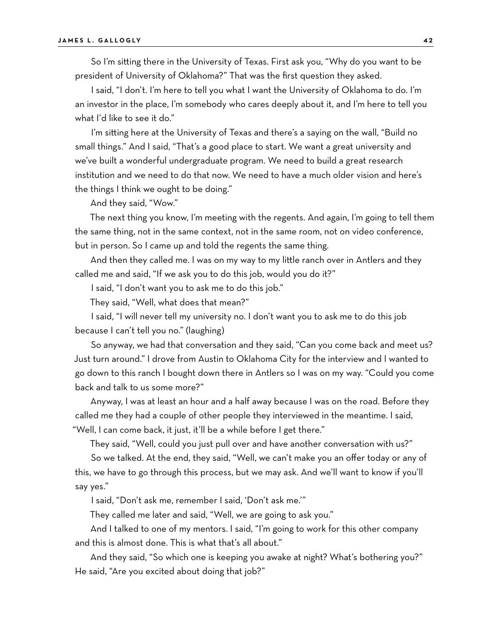So I'm sitting there in the University of Texas. First ask you, "Why do you want to be president of University of Oklahoma?" That was the first question they asked.

I said, "I don't. I'm here to tell you what I want the University of Oklahoma to do. I'm an investor in the place, I'm somebody who cares deeply about it, and I'm here to tell you what I'd like to see it do."

I'm sitting here at the University of Texas and there's a saying on the wall, "Build no small things." And I said, "That's a good place to start. We want a great university and we've built a wonderful undergraduate program. We need to build a great research institution and we need to do that now. We need to have a much older vision and here's the things I think we ought to be doing."

And they said, "Wow."

The next thing you know, I'm meeting with the regents. And again, I'm going to tell them the same thing, not in the same context, not in the same room, not on video conference, but in person. So I came up and told the regents the same thing.

And then they called me. I was on my way to my little ranch over in Antlers and they called me and said, "If we ask you to do this job, would you do it?"

I said, "I don't want you to ask me to do this job."

They said, "Well, what does that mean?"

I said, "I will never tell my university no. I don't want you to ask me to do this job because I can't tell you no." (laughing)

So anyway, we had that conversation and they said, "Can you come back and meet us? Just turn around." I drove from Austin to Oklahoma City for the interview and I wanted to go down to this ranch I bought down there in Antlers so I was on my way. "Could you come back and talk to us some more?"

Anyway, I was at least an hour and a half away because I was on the road. Before they called me they had a couple of other people they interviewed in the meantime. I said, "Well, I can come back, it just, it'll be a while before I get there."

They said, "Well, could you just pull over and have another conversation with us?"

So we talked. At the end, they said, "Well, we can't make you an offer today or any of this, we have to go through this process, but we may ask. And we'll want to know if you'll say yes."

I said, "Don't ask me, remember I said, 'Don't ask me.'"

They called me later and said, "Well, we are going to ask you."

And I talked to one of my mentors. I said, "I'm going to work for this other company and this is almost done. This is what that's all about."

And they said, "So which one is keeping you awake at night? What's bothering you?" He said, "Are you excited about doing that job?"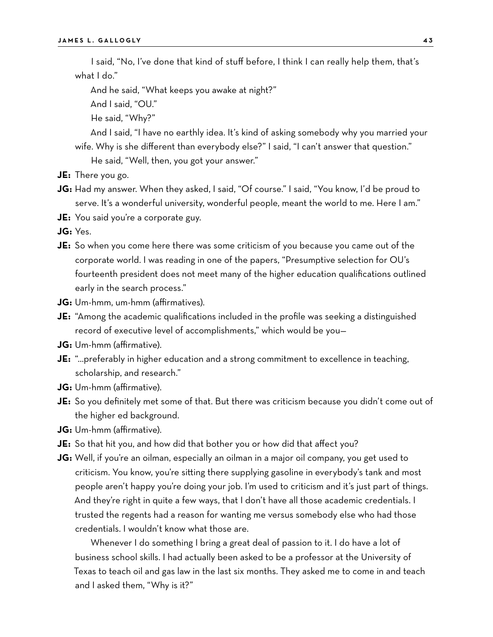I said, "No, I've done that kind of stuff before, I think I can really help them, that's what I do."

And he said, "What keeps you awake at night?"

And I said, "OU."

He said, "Why?"

And I said, "I have no earthly idea. It's kind of asking somebody why you married your wife. Why is she different than everybody else?" I said, "I can't answer that question."

He said, "Well, then, you got your answer."

- **JE:** There you go.
- **JG:** Had my answer. When they asked, I said, "Of course." I said, "You know, I'd be proud to serve. It's a wonderful university, wonderful people, meant the world to me. Here I am."
- **JE:** You said you're a corporate guy.

**JG:** Yes.

- **JE:** So when you come here there was some criticism of you because you came out of the corporate world. I was reading in one of the papers, "Presumptive selection for OU's fourteenth president does not meet many of the higher education qualifications outlined early in the search process."
- **JG:** Um-hmm, um-hmm (affirmatives).
- **JE:** "Among the academic qualifications included in the profile was seeking a distinguished record of executive level of accomplishments," which would be you—
- **JG:** Um-hmm (affirmative).
- **JE:** "…preferably in higher education and a strong commitment to excellence in teaching, scholarship, and research."
- **JG:** Um-hmm (affirmative).
- **JE:** So you definitely met some of that. But there was criticism because you didn't come out of the higher ed background.
- **JG:** Um-hmm (affirmative).
- **JE:** So that hit you, and how did that bother you or how did that affect you?
- **JG:** Well, if you're an oilman, especially an oilman in a major oil company, you get used to criticism. You know, you're sitting there supplying gasoline in everybody's tank and most people aren't happy you're doing your job. I'm used to criticism and it's just part of things. And they're right in quite a few ways, that I don't have all those academic credentials. I trusted the regents had a reason for wanting me versus somebody else who had those credentials. I wouldn't know what those are.

Whenever I do something I bring a great deal of passion to it. I do have a lot of business school skills. I had actually been asked to be a professor at the University of Texas to teach oil and gas law in the last six months. They asked me to come in and teach and I asked them, "Why is it?"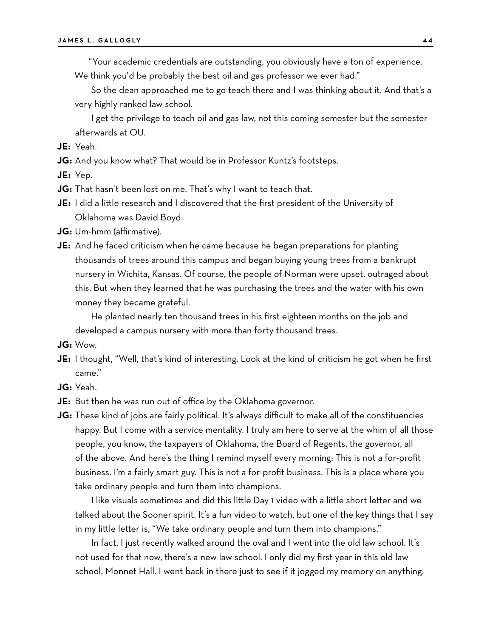"Your academic credentials are outstanding, you obviously have a ton of experience.

We think you'd be probably the best oil and gas professor we ever had."

So the dean approached me to go teach there and I was thinking about it. And that's a very highly ranked law school.

I get the privilege to teach oil and gas law, not this coming semester but the semester afterwards at OU.

**JE:** Yeah.

**JG:** And you know what? That would be in Professor Kuntz's footsteps.

**JE:** Yep.

**JG:** That hasn't been lost on me. That's why I want to teach that.

- **JE:** I did a little research and I discovered that the first president of the University of Oklahoma was David Boyd.
- **JG:** Um-hmm (affirmative).
- **JE:** And he faced criticism when he came because he began preparations for planting thousands of trees around this campus and began buying young trees from a bankrupt nursery in Wichita, Kansas. Of course, the people of Norman were upset, outraged about this. But when they learned that he was purchasing the trees and the water with his own money they became grateful.

He planted nearly ten thousand trees in his first eighteen months on the job and developed a campus nursery with more than forty thousand trees.

- **JG:** Wow.
- **JE:** I thought, "Well, that's kind of interesting. Look at the kind of criticism he got when he first came."
- **JG:** Yeah.
- **JE:** But then he was run out of office by the Oklahoma governor.
- **JG:** These kind of jobs are fairly political. It's always difficult to make all of the constituencies happy. But I come with a service mentality. I truly am here to serve at the whim of all those people, you know, the taxpayers of Oklahoma, the Board of Regents, the governor, all of the above. And here's the thing I remind myself every morning: This is not a for-profit business. I'm a fairly smart guy. This is not a for-profit business. This is a place where you take ordinary people and turn them into champions.

I like visuals sometimes and did this little Day 1 video with a little short letter and we talked about the Sooner spirit. It's a fun video to watch, but one of the key things that I say in my little letter is, "We take ordinary people and turn them into champions."

In fact, I just recently walked around the oval and I went into the old law school. It's not used for that now, there's a new law school. I only did my first year in this old law school, Monnet Hall. I went back in there just to see if it jogged my memory on anything.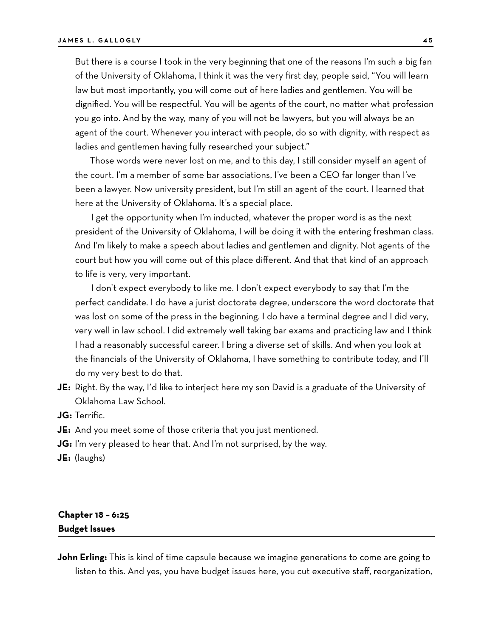But there is a course I took in the very beginning that one of the reasons I'm such a big fan of the University of Oklahoma, I think it was the very first day, people said, "You will learn law but most importantly, you will come out of here ladies and gentlemen. You will be dignified. You will be respectful. You will be agents of the court, no matter what profession you go into. And by the way, many of you will not be lawyers, but you will always be an agent of the court. Whenever you interact with people, do so with dignity, with respect as ladies and gentlemen having fully researched your subject."

Those words were never lost on me, and to this day, I still consider myself an agent of the court. I'm a member of some bar associations, I've been a CEO far longer than I've been a lawyer. Now university president, but I'm still an agent of the court. I learned that here at the University of Oklahoma. It's a special place.

I get the opportunity when I'm inducted, whatever the proper word is as the next president of the University of Oklahoma, I will be doing it with the entering freshman class. And I'm likely to make a speech about ladies and gentlemen and dignity. Not agents of the court but how you will come out of this place different. And that that kind of an approach to life is very, very important.

I don't expect everybody to like me. I don't expect everybody to say that I'm the perfect candidate. I do have a jurist doctorate degree, underscore the word doctorate that was lost on some of the press in the beginning. I do have a terminal degree and I did very, very well in law school. I did extremely well taking bar exams and practicing law and I think I had a reasonably successful career. I bring a diverse set of skills. And when you look at the financials of the University of Oklahoma, I have something to contribute today, and I'll do my very best to do that.

**JE:** Right. By the way, I'd like to interject here my son David is a graduate of the University of Oklahoma Law School.

**JG:** Terrific.

- **JE:** And you meet some of those criteria that you just mentioned.
- **JG:** I'm very pleased to hear that. And I'm not surprised, by the way.

**JE:** (laughs)

# **Chapter 18 – 6:25 Budget Issues**

**John Erling:** This is kind of time capsule because we imagine generations to come are going to listen to this. And yes, you have budget issues here, you cut executive staff, reorganization,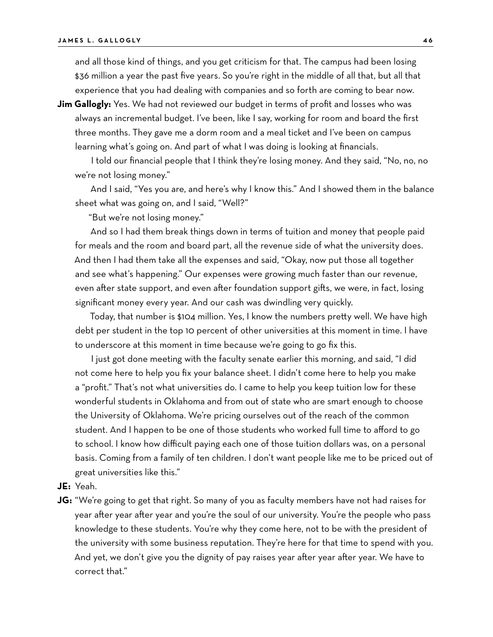and all those kind of things, and you get criticism for that. The campus had been losing \$36 million a year the past five years. So you're right in the middle of all that, but all that experience that you had dealing with companies and so forth are coming to bear now.

**Jim Gallogly:** Yes. We had not reviewed our budget in terms of profit and losses who was always an incremental budget. I've been, like I say, working for room and board the first three months. They gave me a dorm room and a meal ticket and I've been on campus learning what's going on. And part of what I was doing is looking at financials.

I told our financial people that I think they're losing money. And they said, "No, no, no we're not losing money."

And I said, "Yes you are, and here's why I know this." And I showed them in the balance sheet what was going on, and I said, "Well?"

"But we're not losing money."

And so I had them break things down in terms of tuition and money that people paid for meals and the room and board part, all the revenue side of what the university does. And then I had them take all the expenses and said, "Okay, now put those all together and see what's happening." Our expenses were growing much faster than our revenue, even after state support, and even after foundation support gifts, we were, in fact, losing significant money every year. And our cash was dwindling very quickly.

Today, that number is \$104 million. Yes, I know the numbers pretty well. We have high debt per student in the top 10 percent of other universities at this moment in time. I have to underscore at this moment in time because we're going to go fix this.

I just got done meeting with the faculty senate earlier this morning, and said, "I did not come here to help you fix your balance sheet. I didn't come here to help you make a "profit." That's not what universities do. I came to help you keep tuition low for these wonderful students in Oklahoma and from out of state who are smart enough to choose the University of Oklahoma. We're pricing ourselves out of the reach of the common student. And I happen to be one of those students who worked full time to afford to go to school. I know how difficult paying each one of those tuition dollars was, on a personal basis. Coming from a family of ten children. I don't want people like me to be priced out of great universities like this."

- **JE:** Yeah.
- **JG:** "We're going to get that right. So many of you as faculty members have not had raises for year after year after year and you're the soul of our university. You're the people who pass knowledge to these students. You're why they come here, not to be with the president of the university with some business reputation. They're here for that time to spend with you. And yet, we don't give you the dignity of pay raises year after year after year. We have to correct that."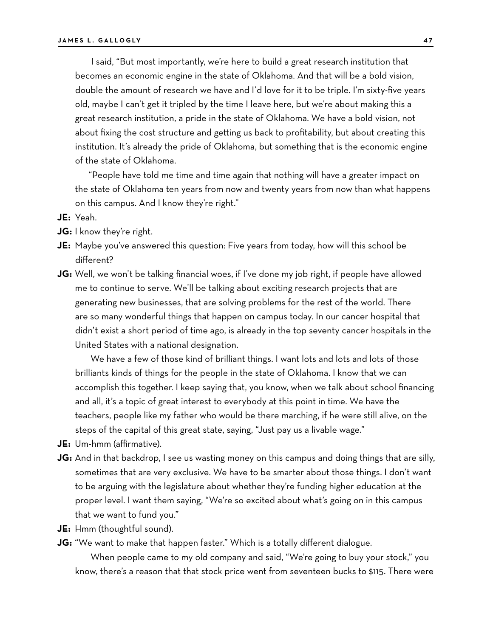I said, "But most importantly, we're here to build a great research institution that becomes an economic engine in the state of Oklahoma. And that will be a bold vision, double the amount of research we have and I'd love for it to be triple. I'm sixty-five years old, maybe I can't get it tripled by the time I leave here, but we're about making this a great research institution, a pride in the state of Oklahoma. We have a bold vision, not about fixing the cost structure and getting us back to profitability, but about creating this institution. It's already the pride of Oklahoma, but something that is the economic engine of the state of Oklahoma.

"People have told me time and time again that nothing will have a greater impact on the state of Oklahoma ten years from now and twenty years from now than what happens on this campus. And I know they're right."

**JE:** Yeah.

- **JG:** I know they're right.
- **JE:** Maybe you've answered this question: Five years from today, how will this school be different?
- **JG:** Well, we won't be talking financial woes, if I've done my job right, if people have allowed me to continue to serve. We'll be talking about exciting research projects that are generating new businesses, that are solving problems for the rest of the world. There are so many wonderful things that happen on campus today. In our cancer hospital that didn't exist a short period of time ago, is already in the top seventy cancer hospitals in the United States with a national designation.

We have a few of those kind of brilliant things. I want lots and lots and lots of those brilliants kinds of things for the people in the state of Oklahoma. I know that we can accomplish this together. I keep saying that, you know, when we talk about school financing and all, it's a topic of great interest to everybody at this point in time. We have the teachers, people like my father who would be there marching, if he were still alive, on the steps of the capital of this great state, saying, "Just pay us a livable wage."

- **JE:** Um-hmm (affirmative).
- **JG:** And in that backdrop, I see us wasting money on this campus and doing things that are silly, sometimes that are very exclusive. We have to be smarter about those things. I don't want to be arguing with the legislature about whether they're funding higher education at the proper level. I want them saying, "We're so excited about what's going on in this campus that we want to fund you."
- **JE:** Hmm (thoughtful sound).
- **JG:** "We want to make that happen faster." Which is a totally different dialogue.

When people came to my old company and said, "We're going to buy your stock," you know, there's a reason that that stock price went from seventeen bucks to \$115. There were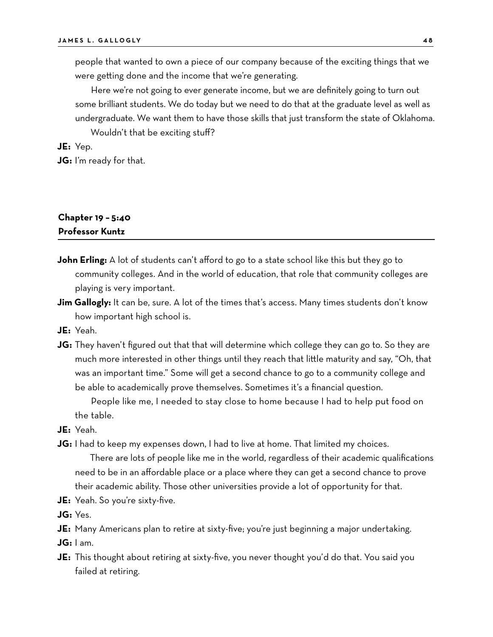people that wanted to own a piece of our company because of the exciting things that we were getting done and the income that we're generating.

Here we're not going to ever generate income, but we are definitely going to turn out some brilliant students. We do today but we need to do that at the graduate level as well as undergraduate. We want them to have those skills that just transform the state of Oklahoma. Wouldn't that be exciting stuff?

**JE:** Yep.

**JG:** I'm ready for that.

# **Chapter 19 – 5:40 Professor Kuntz**

- **John Erling:** A lot of students can't afford to go to a state school like this but they go to community colleges. And in the world of education, that role that community colleges are playing is very important.
- **Jim Gallogly:** It can be, sure. A lot of the times that's access. Many times students don't know how important high school is.
- **JE:** Yeah.
- **JG:** They haven't figured out that that will determine which college they can go to. So they are much more interested in other things until they reach that little maturity and say, "Oh, that was an important time." Some will get a second chance to go to a community college and be able to academically prove themselves. Sometimes it's a financial question.

People like me, I needed to stay close to home because I had to help put food on the table.

- **JE:** Yeah.
- **JG:** I had to keep my expenses down, I had to live at home. That limited my choices.

There are lots of people like me in the world, regardless of their academic qualifications need to be in an affordable place or a place where they can get a second chance to prove their academic ability. Those other universities provide a lot of opportunity for that.

- **JE:** Yeah. So you're sixty-five.
- **JG:** Yes.
- **JE:** Many Americans plan to retire at sixty-five; you're just beginning a major undertaking.
- **JG:** I am.
- **JE:** This thought about retiring at sixty-five, you never thought you'd do that. You said you failed at retiring.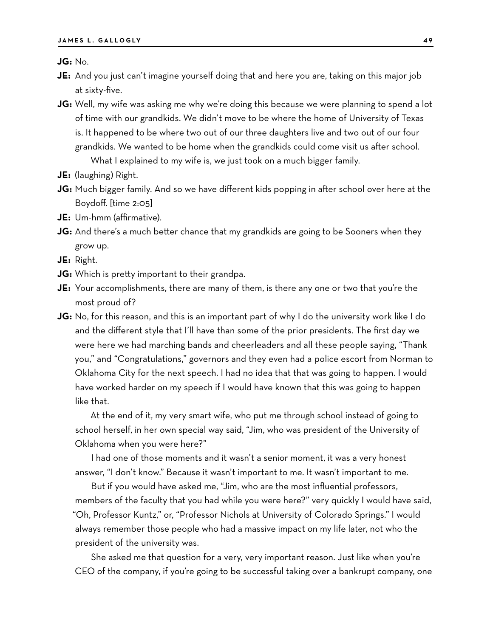**JG:** No.

- **JE:** And you just can't imagine yourself doing that and here you are, taking on this major job at sixty-five.
- **JG:** Well, my wife was asking me why we're doing this because we were planning to spend a lot of time with our grandkids. We didn't move to be where the home of University of Texas is. It happened to be where two out of our three daughters live and two out of our four grandkids. We wanted to be home when the grandkids could come visit us after school. What I explained to my wife is, we just took on a much bigger family.
- **JE:** (laughing) Right.
- **JG:** Much bigger family. And so we have different kids popping in after school over here at the Boydoff. [time 2:05]
- **JE:** Um-hmm (affirmative).
- **JG:** And there's a much better chance that my grandkids are going to be Sooners when they grow up.

**JE:** Right.

- **JG:** Which is pretty important to their grandpa.
- **JE:** Your accomplishments, there are many of them, is there any one or two that you're the most proud of?
- **JG:** No, for this reason, and this is an important part of why I do the university work like I do and the different style that I'll have than some of the prior presidents. The first day we were here we had marching bands and cheerleaders and all these people saying, "Thank you," and "Congratulations," governors and they even had a police escort from Norman to Oklahoma City for the next speech. I had no idea that that was going to happen. I would have worked harder on my speech if I would have known that this was going to happen like that.

At the end of it, my very smart wife, who put me through school instead of going to school herself, in her own special way said, "Jim, who was president of the University of Oklahoma when you were here?"

I had one of those moments and it wasn't a senior moment, it was a very honest answer, "I don't know." Because it wasn't important to me. It wasn't important to me.

But if you would have asked me, "Jim, who are the most influential professors, members of the faculty that you had while you were here?" very quickly I would have said, "Oh, Professor Kuntz," or, "Professor Nichols at University of Colorado Springs." I would always remember those people who had a massive impact on my life later, not who the president of the university was.

She asked me that question for a very, very important reason. Just like when you're CEO of the company, if you're going to be successful taking over a bankrupt company, one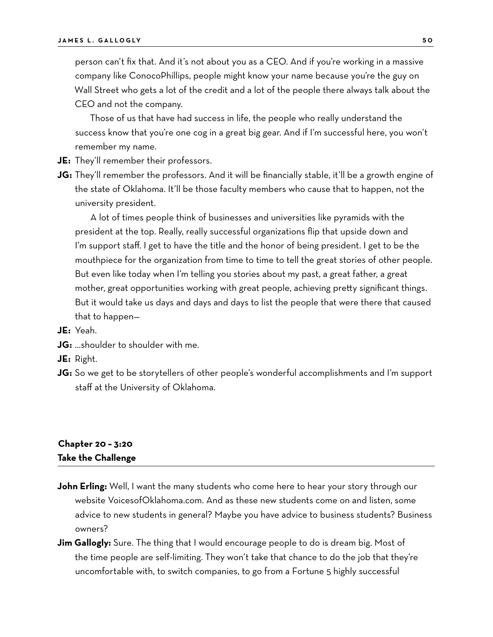person can't fix that. And it's not about you as a CEO. And if you're working in a massive company like ConocoPhillips, people might know your name because you're the guy on Wall Street who gets a lot of the credit and a lot of the people there always talk about the CEO and not the company.

Those of us that have had success in life, the people who really understand the success know that you're one cog in a great big gear. And if I'm successful here, you won't remember my name.

- **JE:** They'll remember their professors.
- **JG:** They'll remember the professors. And it will be financially stable, it'll be a growth engine of the state of Oklahoma. It'll be those faculty members who cause that to happen, not the university president.

A lot of times people think of businesses and universities like pyramids with the president at the top. Really, really successful organizations flip that upside down and I'm support staff. I get to have the title and the honor of being president. I get to be the mouthpiece for the organization from time to time to tell the great stories of other people. But even like today when I'm telling you stories about my past, a great father, a great mother, great opportunities working with great people, achieving pretty significant things. But it would take us days and days and days to list the people that were there that caused that to happen—

**JE:** Yeah.

**JG:** …shoulder to shoulder with me.

**JE:** Right.

**JG:** So we get to be storytellers of other people's wonderful accomplishments and I'm support staff at the University of Oklahoma.

### **Chapter 20 – 3:20 Take the Challenge**

- **John Erling:** Well, I want the many students who come here to hear your story through our website VoicesofOklahoma.com. And as these new students come on and listen, some advice to new students in general? Maybe you have advice to business students? Business owners?
- **Jim Gallogly:** Sure. The thing that I would encourage people to do is dream big. Most of the time people are self-limiting. They won't take that chance to do the job that they're uncomfortable with, to switch companies, to go from a Fortune 5 highly successful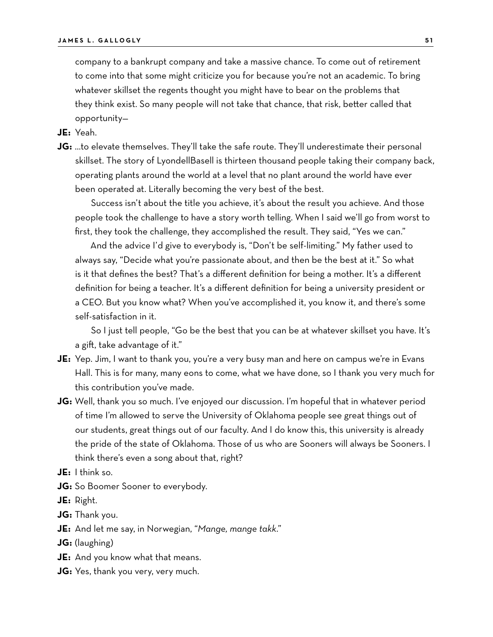company to a bankrupt company and take a massive chance. To come out of retirement to come into that some might criticize you for because you're not an academic. To bring whatever skillset the regents thought you might have to bear on the problems that they think exist. So many people will not take that chance, that risk, better called that opportunity—

**JE:** Yeah.

**JG:** …to elevate themselves. They'll take the safe route. They'll underestimate their personal skillset. The story of LyondellBasell is thirteen thousand people taking their company back, operating plants around the world at a level that no plant around the world have ever been operated at. Literally becoming the very best of the best.

Success isn't about the title you achieve, it's about the result you achieve. And those people took the challenge to have a story worth telling. When I said we'll go from worst to first, they took the challenge, they accomplished the result. They said, "Yes we can."

And the advice I'd give to everybody is, "Don't be self-limiting." My father used to always say, "Decide what you're passionate about, and then be the best at it." So what is it that defines the best? That's a different definition for being a mother. It's a different definition for being a teacher. It's a different definition for being a university president or a CEO. But you know what? When you've accomplished it, you know it, and there's some self-satisfaction in it.

So I just tell people, "Go be the best that you can be at whatever skillset you have. It's a gift, take advantage of it."

- **JE:** Yep. Jim, I want to thank you, you're a very busy man and here on campus we're in Evans Hall. This is for many, many eons to come, what we have done, so I thank you very much for this contribution you've made.
- **JG:** Well, thank you so much. I've enjoyed our discussion. I'm hopeful that in whatever period of time I'm allowed to serve the University of Oklahoma people see great things out of our students, great things out of our faculty. And I do know this, this university is already the pride of the state of Oklahoma. Those of us who are Sooners will always be Sooners. I think there's even a song about that, right?
- **JE:** I think so.
- **JG:** So Boomer Sooner to everybody.
- **JE:** Right.
- **JG:** Thank you.
- **JE:** And let me say, in Norwegian, "*Mange, mange takk*."
- **JG:** (laughing)
- **JE:** And you know what that means.
- **JG:** Yes, thank you very, very much.